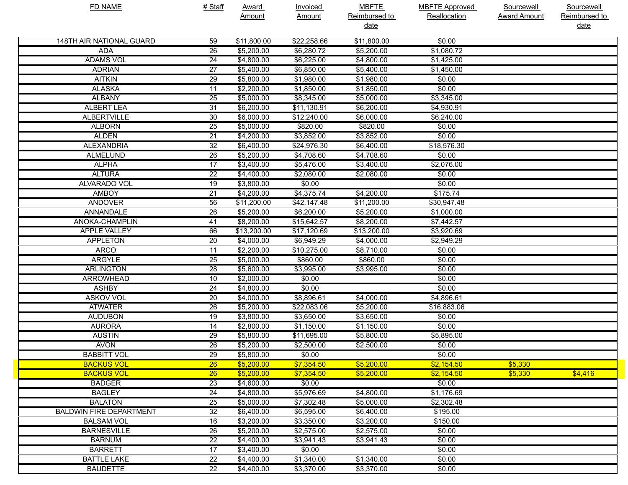| <b>FD NAME</b>                 | # Staff         | <b>Award</b>      | <b>Invoiced</b> | <b>MBFTE</b>  | <b>MBFTE Approved</b> | Sourcewell          | Sourcewell    |
|--------------------------------|-----------------|-------------------|-----------------|---------------|-----------------------|---------------------|---------------|
|                                |                 | Amount            | <b>Amount</b>   | Reimbursed to | Reallocation          | <b>Award Amount</b> | Reimbursed to |
|                                |                 |                   |                 | date          |                       |                     | <u>date</u>   |
| 148TH AIR NATIONAL GUARD       | 59              | \$11,800.00       | \$22,258.66     | \$11,800.00   | \$0.00                |                     |               |
| <b>ADA</b>                     | $\overline{26}$ | \$5,200.00        | \$6,280.72      | \$5,200.00    | \$1,080.72            |                     |               |
| <b>ADAMS VOL</b>               | $\overline{24}$ | \$4,800.00        | \$6,225.00      | \$4,800.00    | \$1,425.00            |                     |               |
| <b>ADRIAN</b>                  | $\overline{27}$ | \$5,400.00        | \$6,850.00      | \$5,400.00    | \$1,450.00            |                     |               |
| <b>AITKIN</b>                  | $\overline{29}$ | \$5,800.00        | \$1,980.00      | \$1,980.00    | \$0.00                |                     |               |
| <b>ALASKA</b>                  | $\overline{11}$ | \$2,200.00        | \$1,850.00      | \$1,850.00    | \$0.00                |                     |               |
| <b>ALBANY</b>                  | $\overline{25}$ | \$5,000.00        | \$8,345.00      | \$5,000.00    | \$3,345.00            |                     |               |
| <b>ALBERT LEA</b>              | $\overline{31}$ | \$6,200.00        | \$11,130.91     | \$6,200.00    | \$4,930.91            |                     |               |
| <b>ALBERTVILLE</b>             | 30              | \$6,000.00        | \$12,240.00     | \$6,000.00    | \$6,240.00            |                     |               |
| <b>ALBORN</b>                  | $\overline{25}$ | \$5,000.00        | \$820.00        | \$820.00      | \$0.00                |                     |               |
| <b>ALDEN</b>                   | $\overline{21}$ | \$4,200.00        | \$3,852.00      | \$3,852.00    | \$0.00                |                     |               |
| <b>ALEXANDRIA</b>              | $\overline{32}$ | \$6,400.00        | \$24,976.30     | \$6,400.00    | \$18,576.30           |                     |               |
| <b>ALMELUND</b>                | 26              | \$5,200.00        | \$4,708.60      | \$4,708.60    | \$0.00                |                     |               |
| <b>ALPHA</b>                   | $\overline{17}$ | \$3,400.00        | \$5,476.00      | \$3,400.00    | \$2,076.00            |                     |               |
| <b>ALTURA</b>                  | $\overline{22}$ | \$4,400.00        | \$2,080.00      | \$2,080.00    | \$0.00                |                     |               |
| ALVARADO VOL                   | 19              | \$3,800.00        | \$0.00          |               | \$0.00                |                     |               |
| <b>AMBOY</b>                   | $\overline{21}$ | \$4,200.00        | \$4,375.74      | \$4,200.00    | \$175.74              |                     |               |
| <b>ANDOVER</b>                 | 56              | \$11,200.00       | \$42,147.48     | \$11,200.00   | \$30,947.48           |                     |               |
| ANNANDALE                      | 26              | \$5,200.00        | \$6,200.00      | \$5,200.00    | \$1,000.00            |                     |               |
| ANOKA-CHAMPLIN                 | 41              | \$8,200.00        | \$15,642.57     | \$8,200.00    | \$7,442.57            |                     |               |
| <b>APPLE VALLEY</b>            | 66              | \$13,200.00       | \$17,120.69     | \$13,200.00   | \$3,920.69            |                     |               |
| <b>APPLETON</b>                | 20              | \$4,000.00        | \$6,949.29      | \$4,000.00    | \$2,949.29            |                     |               |
| <b>ARCO</b>                    | 11              | \$2,200.00        | \$10,275.00     | \$8,710.00    | \$0.00                |                     |               |
| <b>ARGYLE</b>                  | $\overline{25}$ | \$5,000.00        | \$860.00        | \$860.00      | \$0.00                |                     |               |
| <b>ARLINGTON</b>               | 28              | \$5,600.00        | \$3,995.00      | \$3,995.00    | \$0.00                |                     |               |
| <b>ARROWHEAD</b>               | 10              | \$2,000.00        | \$0.00          |               | \$0.00                |                     |               |
| <b>ASHBY</b>                   | 24              | \$4,800.00        | \$0.00          |               | \$0.00                |                     |               |
| <b>ASKOV VOL</b>               | 20              | $\sqrt{4,000.00}$ | \$8,896.61      | \$4,000.00    | \$4,896.61            |                     |               |
| <b>ATWATER</b>                 | 26              | \$5,200.00        | \$22,083.06     | \$5,200.00    | \$16,883.06           |                     |               |
| <b>AUDUBON</b>                 | 19              | \$3,800.00        | \$3,650.00      | \$3,650.00    | \$0.00                |                     |               |
| <b>AURORA</b>                  | 14              | \$2,800.00        | \$1,150.00      | \$1,150.00    | \$0.00                |                     |               |
| <b>AUSTIN</b>                  | 29              | \$5,800.00        | \$11,695.00     | \$5,800.00    | \$5,895.00            |                     |               |
| <b>AVON</b>                    | 26              | \$5,200.00        | \$2,500.00      | \$2,500.00    | \$0.00                |                     |               |
| <b>BABBITT VOL</b>             | $\overline{29}$ | \$5,800.00        | \$0.00          |               | \$0.00                |                     |               |
| <b>BACKUS VOL</b>              | 26              | \$5,200.00        | \$7,354.50      | \$5,200.00    | \$2,154.50            | \$5,330             |               |
| <b>BACKUS VOL</b>              | 26              | \$5,200.00        | \$7,354.50      | \$5,200.00    | \$2,154.50            | \$5,330             | \$4,416       |
| <b>BADGER</b>                  | 23              | \$4,600.00        | \$0.00          |               | \$0.00                |                     |               |
| <b>BAGLEY</b>                  | 24              | \$4,800.00        | \$5,976.69      | \$4,800.00    | \$1,176.69            |                     |               |
| <b>BALATON</b>                 | 25              | \$5,000.00        | \$7,302.48      | \$5,000.00    | \$2,302.48            |                     |               |
| <b>BALDWIN FIRE DEPARTMENT</b> | $\overline{32}$ | \$6,400.00        | \$6,595.00      | \$6,400.00    | \$195.00              |                     |               |
| <b>BALSAM VOL</b>              | 16              | \$3,200.00        | \$3,350.00      | \$3,200.00    | \$150.00              |                     |               |
| <b>BARNESVILLE</b>             | 26              | \$5,200.00        | \$2,575.00      | \$2,575.00    | \$0.00                |                     |               |
| <b>BARNUM</b>                  | $\overline{22}$ | \$4,400.00        | \$3,941.43      | \$3,941.43    | \$0.00                |                     |               |
| <b>BARRETT</b>                 | 17              | \$3,400.00        | \$0.00          |               | \$0.00                |                     |               |
| <b>BATTLE LAKE</b>             | $\overline{22}$ | \$4,400.00        | \$1,340.00      | \$1,340.00    | \$0.00                |                     |               |
| <b>BAUDETTE</b>                | $\overline{22}$ | \$4,400.00        | \$3,370.00      | \$3,370.00    | \$0.00                |                     |               |
|                                |                 |                   |                 |               |                       |                     |               |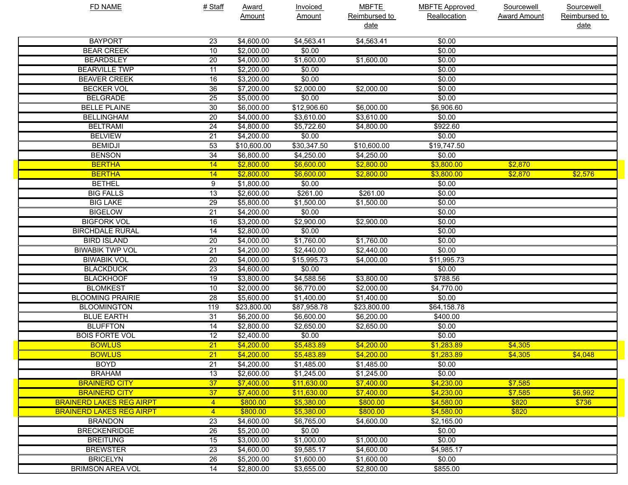| <b>FD NAME</b>                  | # Staff         | <b>Award</b> | Invoiced      | <b>MBFTE</b>  | <b>MBFTE Approved</b> | Sourcewell          | Sourcewell    |
|---------------------------------|-----------------|--------------|---------------|---------------|-----------------------|---------------------|---------------|
|                                 |                 | Amount       | <b>Amount</b> | Reimbursed to | <b>Reallocation</b>   | <b>Award Amount</b> | Reimbursed to |
|                                 |                 |              |               | <u>date</u>   |                       |                     | <u>date</u>   |
| <b>BAYPORT</b>                  | 23              | \$4,600.00   | \$4,563.41    | \$4,563.41    | \$0.00                |                     |               |
| <b>BEAR CREEK</b>               | 10              | \$2,000.00   | \$0.00        |               | \$0.00                |                     |               |
| <b>BEARDSLEY</b>                | 20              | \$4,000.00   | \$1,600.00    | \$1,600.00    | \$0.00                |                     |               |
| <b>BEARVILLE TWP</b>            | 11              | \$2,200.00   | \$0.00        |               | \$0.00                |                     |               |
| <b>BEAVER CREEK</b>             | 16              | \$3,200.00   | \$0.00        |               | \$0.00                |                     |               |
| <b>BECKER VOL</b>               | 36              | \$7,200.00   | \$2,000.00    | \$2,000.00    | \$0.00                |                     |               |
| <b>BELGRADE</b>                 | 25              | \$5,000.00   | \$0.00        |               | \$0.00                |                     |               |
| <b>BELLE PLAINE</b>             | 30              | \$6,000.00   | \$12,906.60   | \$6,000.00    | \$6,906.60            |                     |               |
| <b>BELLINGHAM</b>               | 20              | \$4,000.00   | \$3,610.00    | \$3,610.00    | \$0.00                |                     |               |
| <b>BELTRAMI</b>                 | 24              | \$4,800.00   | \$5,722.60    | \$4,800.00    | \$922.60              |                     |               |
| <b>BELVIEW</b>                  | 21              | \$4,200.00   | \$0.00        |               | \$0.00                |                     |               |
| <b>BEMIDJI</b>                  | 53              | \$10,600.00  | \$30,347.50   | \$10,600.00   | \$19,747.50           |                     |               |
| <b>BENSON</b>                   | 34              | \$6,800.00   | \$4,250.00    | \$4,250.00    | \$0.00                |                     |               |
| <b>BERTHA</b>                   | 14              | \$2,800.00   | \$6,600.00    | \$2,800.00    | \$3,800.00            | \$2,870             |               |
| <b>BERTHA</b>                   | 14              | \$2,800.00   | \$6,600.00    | \$2,800.00    | \$3,800.00            | \$2,870             | \$2,576       |
| <b>BETHEL</b>                   | 9               | \$1,800.00   | \$0.00        |               | \$0.00                |                     |               |
| <b>BIG FALLS</b>                | $\overline{13}$ | \$2,600.00   | \$261.00      | \$261.00      | \$0.00                |                     |               |
| <b>BIG LAKE</b>                 | $\overline{29}$ | \$5,800.00   | \$1,500.00    | \$1,500.00    | \$0.00                |                     |               |
| <b>BIGELOW</b>                  | $\overline{21}$ | \$4,200.00   | \$0.00        |               | \$0.00                |                     |               |
| <b>BIGFORK VOL</b>              | 16              | \$3,200.00   | \$2,900.00    | \$2,900.00    | \$0.00                |                     |               |
| <b>BIRCHDALE RURAL</b>          | 14              | \$2,800.00   | \$0.00        |               | \$0.00                |                     |               |
| <b>BIRD ISLAND</b>              | 20              | \$4,000.00   | \$1,760.00    | \$1,760.00    | \$0.00                |                     |               |
| <b>BIWABIK TWP VOL</b>          | 21              | \$4,200.00   | \$2,440.00    | \$2,440.00    | \$0.00                |                     |               |
| <b>BIWABIK VOL</b>              | 20              | \$4,000.00   | \$15,995.73   | \$4,000.00    | \$11,995.73           |                     |               |
| <b>BLACKDUCK</b>                | 23              | \$4,600.00   | \$0.00        |               | \$0.00                |                     |               |
| <b>BLACKHOOF</b>                | 19              | \$3,800.00   | \$4,588.56    | \$3,800.00    | \$788.56              |                     |               |
| <b>BLOMKEST</b>                 | 10              | \$2,000.00   | \$6,770.00    | \$2,000.00    | \$4,770.00            |                     |               |
| <b>BLOOMING PRAIRIE</b>         | 28              | \$5,600.00   | \$1,400.00    | \$1,400.00    | \$0.00                |                     |               |
| <b>BLOOMINGTON</b>              | 119             | \$23,800.00  | \$87,958.78   | \$23,800.00   | \$64,158.78           |                     |               |
| <b>BLUE EARTH</b>               | 31              | \$6,200.00   | \$6,600.00    | \$6,200.00    | \$400.00              |                     |               |
| <b>BLUFFTON</b>                 | 14              | \$2,800.00   | \$2,650.00    | \$2,650.00    | \$0.00                |                     |               |
| <b>BOIS FORTE VOL</b>           | 12              | \$2,400.00   | \$0.00        |               | \$0.00                |                     |               |
| <b>BOWLUS</b>                   | $\overline{21}$ | \$4,200.00   | \$5,483.89    | \$4,200.00    | \$1,283.89            | \$4,305             |               |
| <b>BOWLUS</b>                   | 21              | \$4,200.00   | \$5,483.89    | \$4,200.00    | \$1,283.89            | \$4,305             | \$4,048       |
| <b>BOYD</b>                     | 21              | \$4,200.00   | \$1,485.00    | \$1,485.00    | \$0.00                |                     |               |
| <b>BRAHAM</b>                   | 13              | \$2,600.00   | \$1,245.00    | \$1,245.00    | \$0.00                |                     |               |
| <b>BRAINERD CITY</b>            | 37              | \$7,400.00   | \$11,630.00   | \$7,400.00    | \$4,230.00            | \$7,585             |               |
| <b>BRAINERD CITY</b>            | 37              | \$7,400.00   | \$11,630.00   | \$7,400.00    | \$4,230.00            | \$7,585             | \$6,992       |
| <b>BRAINERD LAKES REG AIRPT</b> | $\overline{4}$  | \$800.00     | \$5,380.00    | \$800.00      | \$4,580.00            | \$820               | \$736         |
| <b>BRAINERD LAKES REG AIRPT</b> | $\overline{4}$  | \$800.00     | \$5,380.00    | \$800.00      | \$4,580.00            | \$820               |               |
| <b>BRANDON</b>                  | 23              | \$4,600.00   | \$6,765.00    | \$4,600.00    | \$2,165.00            |                     |               |
| <b>BRECKENRIDGE</b>             | 26              | \$5,200.00   | \$0.00        |               | \$0.00                |                     |               |
| <b>BREITUNG</b>                 | 15              | \$3,000.00   | \$1,000.00    | \$1,000.00    | \$0.00                |                     |               |
| <b>BREWSTER</b>                 | 23              | \$4,600.00   | \$9,585.17    | \$4,600.00    | \$4,985.17            |                     |               |
| <b>BRICELYN</b>                 | 26              | \$5,200.00   | \$1,600.00    | \$1,600.00    | \$0.00                |                     |               |
| <b>BRIMSON AREA VOL</b>         | 14              | \$2,800.00   | \$3,655.00    | \$2,800.00    | \$855.00              |                     |               |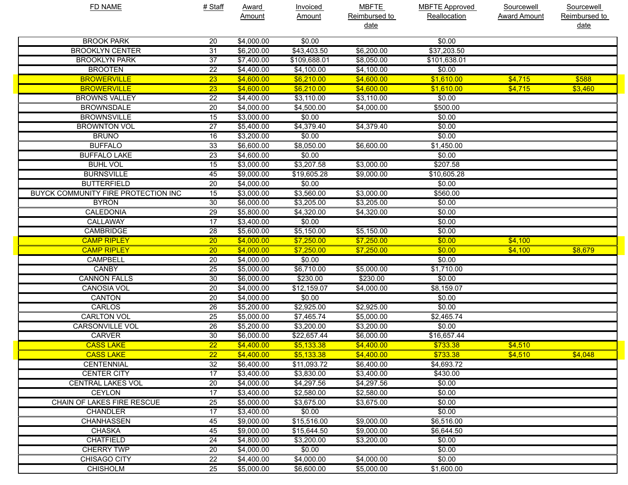| <b>FD NAME</b>                      | # Staff         | <b>Award</b> | <b>Invoiced</b> | <b>MBFTE</b>      | <b>MBFTE Approved</b> | Sourcewell          | Sourcewell    |
|-------------------------------------|-----------------|--------------|-----------------|-------------------|-----------------------|---------------------|---------------|
|                                     |                 | Amount       | <u>Amount</u>   | Reimbursed to     | Reallocation          | <b>Award Amount</b> | Reimbursed to |
|                                     |                 |              |                 | <u>date</u>       |                       |                     | <u>date</u>   |
| <b>BROOK PARK</b>                   | 20              | \$4,000.00   | \$0.00          |                   | \$0.00                |                     |               |
| <b>BROOKLYN CENTER</b>              | 31              | \$6,200.00   | \$43,403.50     | \$6,200.00        | \$37,203.50           |                     |               |
| <b>BROOKLYN PARK</b>                | 37              | \$7,400.00   | \$109,688.01    | \$8,050.00        | \$101,638.01          |                     |               |
| <b>BROOTEN</b>                      | $\overline{22}$ | \$4,400.00   | \$4,100.00      | \$4,100.00        | \$0.00                |                     |               |
| <b>BROWERVILLE</b>                  | $\overline{23}$ | \$4,600.00   | \$6,210.00      | \$4,600.00        | \$1,610.00            | \$4,715             | \$588         |
| <b>BROWERVILLE</b>                  | $\overline{23}$ | \$4,600.00   | \$6,210.00      | \$4,600.00        | \$1,610.00            | \$4,715             | \$3,460       |
| <b>BROWNS VALLEY</b>                | 22              | \$4,400.00   | \$3,110.00      | \$3,110.00        | \$0.00                |                     |               |
| <b>BROWNSDALE</b>                   | 20              | \$4,000.00   | \$4,500.00      | \$4,000.00        | \$500.00              |                     |               |
| <b>BROWNSVILLE</b>                  | 15              | \$3,000.00   | \$0.00          |                   | \$0.00                |                     |               |
| <b>BROWNTON VOL</b>                 | $\overline{27}$ | \$5,400.00   | \$4,379.40      | \$4,379.40        | \$0.00                |                     |               |
| <b>BRUNO</b>                        | 16              | \$3,200.00   | \$0.00          |                   | \$0.00                |                     |               |
| <b>BUFFALO</b>                      | 33              | \$6,600.00   | \$8,050.00      | \$6,600.00        | \$1,450.00            |                     |               |
| <b>BUFFALO LAKE</b>                 | 23              | \$4,600.00   | \$0.00          |                   | \$0.00                |                     |               |
| <b>BUHL VOL</b>                     | 15              | \$3,000.00   | \$3,207.58      | \$3,000.00        | \$207.58              |                     |               |
| <b>BURNSVILLE</b>                   | 45              | \$9,000.00   | \$19,605.28     | \$9,000.00        | \$10,605.28           |                     |               |
| <b>BUTTERFIELD</b>                  | 20              | \$4,000.00   | \$0.00          |                   | \$0.00                |                     |               |
| BUYCK COMMUNITY FIRE PROTECTION INC | 15              | \$3,000.00   | \$3,560.00      | \$3,000.00        | \$560.00              |                     |               |
| <b>BYRON</b>                        | 30              | \$6,000.00   | \$3,205.00      | \$3,205.00        | \$0.00                |                     |               |
| <b>CALEDONIA</b>                    | $\overline{29}$ | \$5,800.00   | \$4,320.00      | \$4,320.00        | \$0.00                |                     |               |
| CALLAWAY                            | $\overline{17}$ | \$3,400.00   | \$0.00          |                   | \$0.00                |                     |               |
| <b>CAMBRIDGE</b>                    | $\overline{28}$ | \$5,600.00   | \$5,150.00      | \$5,150.00        | \$0.00                |                     |               |
| <b>CAMP RIPLEY</b>                  | $\overline{20}$ | \$4,000.00   | \$7,250.00      | \$7,250.00        | \$0.00                | \$4,100             |               |
| <b>CAMP RIPLEY</b>                  | $\overline{20}$ | \$4,000.00   | \$7,250.00      | \$7,250.00        | \$0.00                | \$4,100             | \$8,679       |
| <b>CAMPBELL</b>                     | 20              | \$4,000.00   | \$0.00          |                   | \$0.00                |                     |               |
| <b>CANBY</b>                        | 25              | \$5,000.00   | \$6,710.00      | \$5,000.00        | \$1,710.00            |                     |               |
| <b>CANNON FALLS</b>                 | 30              | \$6,000.00   | \$230.00        | \$230.00          | \$0.00                |                     |               |
| <b>CANOSIA VOL</b>                  | 20              | \$4,000.00   | \$12,159.07     | $\sqrt{4,000.00}$ | \$8,159.07            |                     |               |
| <b>CANTON</b>                       | 20              | \$4,000.00   | \$0.00          |                   | \$0.00                |                     |               |
| CARLOS                              | 26              | \$5,200.00   | \$2,925.00      | \$2,925.00        | \$0.00                |                     |               |
| <b>CARLTON VOL</b>                  | 25              | \$5,000.00   | \$7,465.74      | \$5,000.00        | \$2,465.74            |                     |               |
| <b>CARSONVILLE VOL</b>              | 26              | \$5,200.00   | \$3,200.00      | \$3,200.00        | \$0.00                |                     |               |
| <b>CARVER</b>                       | 30              | \$6,000.00   | \$22,657.44     | \$6,000.00        | \$16,657.44           |                     |               |
| <b>CASS LAKE</b>                    | $\overline{22}$ | \$4,400.00   | \$5,133.38      | \$4,400.00        | \$733.38              | \$4,510             |               |
| <b>CASS LAKE</b>                    | $\overline{22}$ | \$4,400.00   | \$5,133.38      | \$4,400.00        | \$733.38              | \$4,510             | \$4,048       |
| <b>CENTENNIAL</b>                   | 32              | \$6,400.00   | \$11,093.72     | \$6,400.00        | \$4,693.72            |                     |               |
| <b>CENTER CITY</b>                  | 17              | \$3,400.00   | \$3,830.00      | \$3,400.00        | \$430.00              |                     |               |
| <b>CENTRAL LAKES VOL</b>            | 20              | \$4,000.00   | \$4,297.56      | \$4,297.56        | \$0.00                |                     |               |
| <b>CEYLON</b>                       | 17              | \$3,400.00   | \$2,580.00      | \$2,580.00        | \$0.00                |                     |               |
| <b>CHAIN OF LAKES FIRE RESCUE</b>   | 25              | \$5,000.00   | \$3,675.00      | \$3,675.00        | \$0.00                |                     |               |
| <b>CHANDLER</b>                     | 17              | \$3,400.00   | \$0.00          |                   | \$0.00                |                     |               |
| <b>CHANHASSEN</b>                   | 45              | \$9,000.00   | \$15,516.00     | \$9,000.00        | \$6,516.00            |                     |               |
| <b>CHASKA</b>                       | 45              | \$9,000.00   | \$15,644.50     | \$9,000.00        | \$6,644.50            |                     |               |
| <b>CHATFIELD</b>                    | 24              | \$4,800.00   | \$3,200.00      | \$3,200.00        | \$0.00                |                     |               |
| <b>CHERRY TWP</b>                   | 20              | \$4,000.00   | \$0.00          |                   | \$0.00                |                     |               |
| <b>CHISAGO CITY</b>                 | 22              | \$4,400.00   | \$4,000.00      | \$4,000.00        | \$0.00                |                     |               |
| <b>CHISHOLM</b>                     | 25              | \$5,000.00   | \$6,600.00      | \$5,000.00        | \$1,600.00            |                     |               |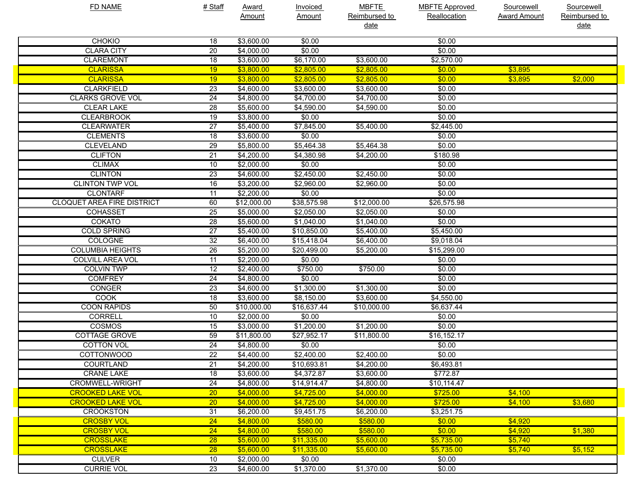| <b>FD NAME</b>                    | # Staff         | <b>Award</b> | <b>Invoiced</b> | <b>MBFTE</b>  | <b>MBFTE Approved</b> | Sourcewell          | Sourcewell    |
|-----------------------------------|-----------------|--------------|-----------------|---------------|-----------------------|---------------------|---------------|
|                                   |                 | Amount       | <b>Amount</b>   | Reimbursed to | Reallocation          | <b>Award Amount</b> | Reimbursed to |
|                                   |                 |              |                 | date          |                       |                     | <u>date</u>   |
| <b>CHOKIO</b>                     | 18              | \$3,600.00   | \$0.00          |               | \$0.00                |                     |               |
| <b>CLARA CITY</b>                 | 20              | \$4,000.00   | \$0.00          |               | \$0.00                |                     |               |
| <b>CLAREMONT</b>                  | 18              | \$3,600.00   | \$6,170.00      | \$3,600.00    | \$2,570.00            |                     |               |
| <b>CLARISSA</b>                   | 19              | \$3,800.00   | \$2,805.00      | \$2,805.00    | \$0.00                | \$3,895             |               |
| <b>CLARISSA</b>                   | 19              | \$3,800.00   | \$2,805.00      | \$2,805.00    | \$0.00                | \$3,895             | \$2,000       |
| <b>CLARKFIELD</b>                 | 23              | \$4,600.00   | \$3,600.00      | \$3,600.00    | \$0.00                |                     |               |
| <b>CLARKS GROVE VOL</b>           | 24              | \$4,800.00   | \$4,700.00      | \$4,700.00    | \$0.00                |                     |               |
| <b>CLEAR LAKE</b>                 | 28              | \$5,600.00   | \$4,590.00      | \$4,590.00    | \$0.00                |                     |               |
| <b>CLEARBROOK</b>                 | 19              | \$3,800.00   | \$0.00          |               | \$0.00                |                     |               |
| <b>CLEARWATER</b>                 | $\overline{27}$ | \$5,400.00   | \$7,845.00      | \$5,400.00    | \$2,445.00            |                     |               |
| <b>CLEMENTS</b>                   | 18              | \$3,600.00   | \$0.00          |               | \$0.00                |                     |               |
| <b>CLEVELAND</b>                  | 29              | \$5,800.00   | \$5,464.38      | \$5,464.38    | \$0.00                |                     |               |
| <b>CLIFTON</b>                    | 21              | \$4,200.00   | \$4,380.98      | \$4,200.00    | \$180.98              |                     |               |
| <b>CLIMAX</b>                     | 10              | \$2,000.00   | \$0.00          |               | \$0.00                |                     |               |
| <b>CLINTON</b>                    | 23              | \$4,600.00   | \$2,450.00      | \$2,450.00    | \$0.00                |                     |               |
| <b>CLINTON TWP VOL</b>            | 16              | \$3,200.00   | \$2,960.00      | \$2,960.00    | \$0.00                |                     |               |
| <b>CLONTARF</b>                   | 11              | \$2,200.00   | \$0.00          |               | \$0.00                |                     |               |
| <b>CLOQUET AREA FIRE DISTRICT</b> | 60              | \$12,000.00  | \$38,575.98     | \$12,000.00   | \$26,575.98           |                     |               |
| <b>COHASSET</b>                   | 25              | \$5,000.00   | \$2,050.00      | \$2,050.00    | \$0.00                |                     |               |
| <b>COKATO</b>                     | 28              | \$5,600.00   | \$1,040.00      | \$1,040.00    | \$0.00                |                     |               |
| <b>COLD SPRING</b>                | $\overline{27}$ | \$5,400.00   | \$10,850.00     | \$5,400.00    | \$5,450.00            |                     |               |
| COLOGNE                           | 32              | \$6,400.00   | \$15,418.04     | \$6,400.00    | \$9,018.04            |                     |               |
| <b>COLUMBIA HEIGHTS</b>           | 26              | \$5,200.00   | \$20,499.00     | \$5,200.00    | \$15,299.00           |                     |               |
| <b>COLVILL AREA VOL</b>           | $\overline{11}$ | \$2,200.00   | \$0.00          |               | \$0.00                |                     |               |
| <b>COLVIN TWP</b>                 | $\overline{12}$ | \$2,400.00   | \$750.00        | \$750.00      | \$0.00                |                     |               |
| <b>COMFREY</b>                    | 24              | \$4,800.00   | \$0.00          |               | \$0.00                |                     |               |
| <b>CONGER</b>                     | 23              | \$4,600.00   | \$1,300.00      | \$1,300.00    | \$0.00                |                     |               |
| <b>COOK</b>                       | 18              | \$3,600.00   | \$8,150.00      | \$3,600.00    | \$4,550.00            |                     |               |
| <b>COON RAPIDS</b>                | 50              | \$10,000.00  | \$16,637.44     | \$10,000.00   | \$6,637.44            |                     |               |
| <b>CORRELL</b>                    | 10              | \$2,000.00   | \$0.00          |               | \$0.00                |                     |               |
| <b>COSMOS</b>                     | 15              | \$3,000.00   | \$1,200.00      | \$1,200.00    | \$0.00                |                     |               |
| <b>COTTAGE GROVE</b>              | 59              | \$11,800.00  | \$27,952.17     | \$11,800.00   | \$16,152.17           |                     |               |
| <b>COTTON VOL</b>                 | 24              | \$4,800.00   | \$0.00          |               | \$0.00                |                     |               |
| <b>COTTONWOOD</b>                 | $\overline{22}$ | \$4,400.00   | \$2,400.00      | \$2,400.00    | \$0.00                |                     |               |
| <b>COURTLAND</b>                  | 21              | \$4,200.00   | \$10,693.81     | \$4,200.00    | \$6,493.81            |                     |               |
| <b>CRANE LAKE</b>                 | 18              | \$3,600.00   | \$4,372.87      | \$3,600.00    | \$772.87              |                     |               |
| <b>CROMWELL-WRIGHT</b>            | 24              | \$4,800.00   | \$14,914.47     | \$4,800.00    | \$10,114.47           |                     |               |
| <b>CROOKED LAKE VOL</b>           | 20              | \$4,000.00   | \$4,725.00      | \$4,000.00    | \$725.00              | \$4,100             |               |
| <b>CROOKED LAKE VOL</b>           | 20 <sub>2</sub> | \$4,000.00   | \$4,725.00      | \$4,000.00    | \$725.00              | \$4,100             | \$3,680       |
| <b>CROOKSTON</b>                  | 31              | \$6,200.00   | \$9,451.75      | \$6,200.00    | \$3,251.75            |                     |               |
| <b>CROSBY VOL</b>                 | $\overline{24}$ | \$4,800.00   | \$580.00        | \$580.00      | \$0.00                | \$4,920             |               |
| <b>CROSBY VOL</b>                 | 24              | \$4,800.00   | \$580.00        | \$580.00      | \$0.00                | \$4,920             | \$1,380       |
| <b>CROSSLAKE</b>                  | 28              | \$5,600.00   | \$11,335.00     | \$5,600.00    | \$5,735.00            | \$5,740             |               |
| <b>CROSSLAKE</b>                  | 28              | \$5,600.00   | \$11,335.00     | \$5,600.00    | \$5,735.00            | \$5,740             | \$5,152       |
| <b>CULVER</b>                     | 10              | \$2,000.00   | \$0.00          |               | \$0.00                |                     |               |
| <b>CURRIE VOL</b>                 | 23              | \$4,600.00   | \$1,370.00      | \$1,370.00    | \$0.00                |                     |               |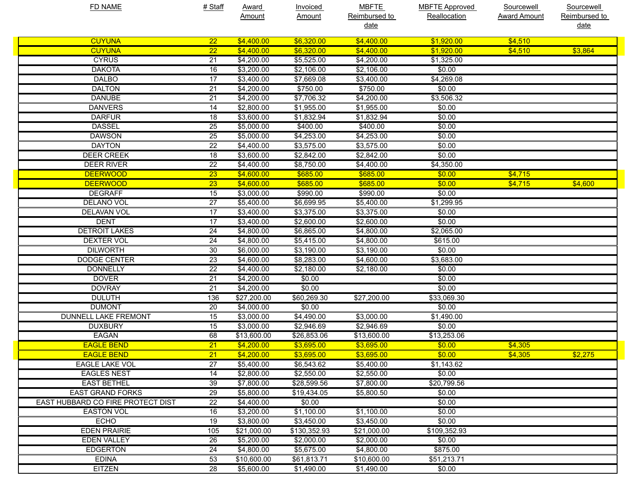| <b>FD NAME</b>                    | # Staff         | <b>Award</b> | <b>Invoiced</b> | <b>MBFTE</b>  | <b>MBFTE Approved</b> | Sourcewell          | Sourcewell    |
|-----------------------------------|-----------------|--------------|-----------------|---------------|-----------------------|---------------------|---------------|
|                                   |                 | Amount       | <b>Amount</b>   | Reimbursed to | Reallocation          | <b>Award Amount</b> | Reimbursed to |
|                                   |                 |              |                 | <u>date</u>   |                       |                     | date          |
| <b>CUYUNA</b>                     | 22              | \$4,400.00   | \$6,320.00      | \$4,400.00    | \$1,920.00            | \$4,510             |               |
| <b>CUYUNA</b>                     | $\overline{22}$ | \$4,400.00   | \$6,320.00      | \$4,400.00    | \$1.920.00            | \$4,510             | \$3,864       |
| <b>CYRUS</b>                      | $\overline{21}$ | \$4,200.00   | \$5,525.00      | \$4,200.00    | \$1,325.00            |                     |               |
| <b>DAKOTA</b>                     | 16              | \$3,200.00   | \$2,106.00      | \$2,106.00    | \$0.00                |                     |               |
| <b>DALBO</b>                      | $\overline{17}$ | \$3,400.00   | \$7,669.08      | \$3,400.00    | \$4,269.08            |                     |               |
| <b>DALTON</b>                     | $\overline{21}$ | \$4,200.00   | \$750.00        | \$750.00      | \$0.00                |                     |               |
| <b>DANUBE</b>                     | $\overline{21}$ | \$4,200.00   | \$7,706.32      | \$4,200.00    | \$3,506.32            |                     |               |
| <b>DANVERS</b>                    | 14              | \$2,800.00   | \$1,955.00      | \$1,955.00    | \$0.00                |                     |               |
| <b>DARFUR</b>                     | 18              | \$3,600.00   | \$1,832.94      | \$1,832.94    | \$0.00                |                     |               |
| <b>DASSEL</b>                     | $\overline{25}$ | \$5,000.00   | \$400.00        | \$400.00      | \$0.00                |                     |               |
| <b>DAWSON</b>                     | $\overline{25}$ | \$5,000.00   | \$4,253.00      | \$4,253.00    | \$0.00                |                     |               |
| <b>DAYTON</b>                     | $\overline{22}$ | \$4,400.00   | \$3,575.00      | \$3,575.00    | \$0.00                |                     |               |
| <b>DEER CREEK</b>                 | $\overline{18}$ | \$3,600.00   | \$2,842.00      | \$2,842.00    | \$0.00                |                     |               |
| <b>DEER RIVER</b>                 | $\overline{22}$ | \$4,400.00   | \$8,750.00      | \$4,400.00    | \$4,350.00            |                     |               |
| <b>DEERWOOD</b>                   | $\overline{23}$ | \$4,600.00   | \$685.00        | \$685.00      | \$0.00                | \$4,715             |               |
| <b>DEERWOOD</b>                   | $\overline{23}$ | \$4,600.00   | \$685.00        | \$685.00      | \$0.00                | \$4,715             | \$4,600       |
| <b>DEGRAFF</b>                    | $\overline{15}$ | \$3,000.00   | \$990.00        | \$990.00      | \$0.00                |                     |               |
| <b>DELANO VOL</b>                 | $\overline{27}$ | \$5,400.00   | \$6,699.95      | \$5,400.00    | \$1,299.95            |                     |               |
| DELAVAN VOL                       | $\overline{17}$ | \$3,400.00   | \$3,375.00      | \$3,375.00    | \$0.00                |                     |               |
| <b>DENT</b>                       | $\overline{17}$ | \$3,400.00   | \$2,600.00      | \$2,600.00    | \$0.00                |                     |               |
| <b>DETROIT LAKES</b>              | $\overline{24}$ | \$4,800.00   | \$6,865.00      | \$4,800.00    | \$2,065.00            |                     |               |
| <b>DEXTER VOL</b>                 | 24              | \$4,800.00   | \$5,415.00      | \$4,800.00    | \$615.00              |                     |               |
| <b>DILWORTH</b>                   | 30              | \$6,000.00   | \$3,190.00      | \$3,190.00    | \$0.00                |                     |               |
| <b>DODGE CENTER</b>               | $\overline{23}$ | \$4,600.00   | \$8,283.00      | \$4,600.00    | \$3,683.00            |                     |               |
| <b>DONNELLY</b>                   | $\overline{22}$ | \$4,400.00   | \$2,180.00      | \$2,180.00    | \$0.00                |                     |               |
| <b>DOVER</b>                      | $\overline{21}$ | \$4,200.00   | \$0.00          |               | \$0.00                |                     |               |
| <b>DOVRAY</b>                     | $\overline{21}$ | \$4,200.00   | \$0.00          |               | \$0.00                |                     |               |
| <b>DULUTH</b>                     | 136             | \$27,200.00  | \$60,269.30     | \$27,200.00   | \$33,069.30           |                     |               |
| <b>DUMONT</b>                     | 20              | \$4,000.00   | \$0.00          |               | \$0.00                |                     |               |
| <b>DUNNELL LAKE FREMONT</b>       | $\overline{15}$ | \$3,000.00   | \$4,490.00      | \$3,000.00    | \$1,490.00            |                     |               |
| <b>DUXBURY</b>                    | $\overline{15}$ | \$3,000.00   | \$2,946.69      | \$2,946.69    | \$0.00                |                     |               |
| <b>EAGAN</b>                      | 68              | \$13,600.00  | \$26,853.06     | \$13,600.00   | \$13,253.06           |                     |               |
| <b>EAGLE BEND</b>                 | 21              | \$4,200.00   | \$3,695.00      | \$3,695.00    | \$0.00                | \$4,305             |               |
| <b>EAGLE BEND</b>                 | $\overline{21}$ | \$4,200.00   | \$3,695.00      | \$3,695.00    | \$0.00                | \$4,305             | \$2,275       |
| EAGLE LAKE VOL                    | $\overline{27}$ | \$5,400.00   | \$6,543.62      | \$5,400.00    | \$1,143.62            |                     |               |
| <b>EAGLES NEST</b>                | 14              | \$2,800.00   | \$2,550.00      | \$2,550.00    | \$0.00                |                     |               |
| <b>EAST BETHEL</b>                | 39              | \$7,800.00   | \$28,599.56     | \$7,800.00    | \$20,799.56           |                     |               |
| <b>EAST GRAND FORKS</b>           | 29              | \$5,800.00   | \$19,434.05     | \$5,800.50    | \$0.00                |                     |               |
| EAST HUBBARD CO FIRE PROTECT DIST | $\overline{22}$ | \$4,400.00   | \$0.00          |               | \$0.00                |                     |               |
| <b>EASTON VOL</b>                 | 16              | \$3,200.00   | \$1,100.00      | \$1,100.00    | \$0.00                |                     |               |
| <b>ECHO</b>                       | 19              | \$3,800.00   | \$3,450.00      | \$3,450.00    | \$0.00                |                     |               |
| <b>EDEN PRAIRIE</b>               | 105             | \$21,000.00  | \$130,352.93    | \$21,000.00   | \$109,352.93          |                     |               |
| <b>EDEN VALLEY</b>                | 26              | \$5,200.00   | \$2,000.00      | \$2,000.00    | \$0.00                |                     |               |
| <b>EDGERTON</b>                   | 24              | \$4,800.00   | \$5,675.00      | \$4,800.00    | \$875.00              |                     |               |
| <b>EDINA</b>                      | 53              | \$10,600.00  | \$61,813.71     | \$10,600.00   | \$51,213.71           |                     |               |
| <b>EITZEN</b>                     | 28              | \$5,600.00   | \$1,490.00      | \$1,490.00    | \$0.00                |                     |               |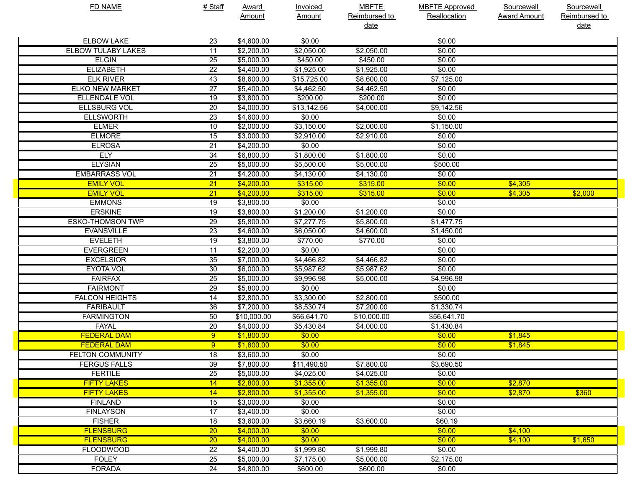| <b>FD NAME</b>            | # Staff         | <b>Award</b> | Invoiced      | <b>MBFTE</b>  | <b>MBFTE Approved</b> | Sourcewell          | Sourcewell    |
|---------------------------|-----------------|--------------|---------------|---------------|-----------------------|---------------------|---------------|
|                           |                 | Amount       | <b>Amount</b> | Reimbursed to | Reallocation          | <b>Award Amount</b> | Reimbursed to |
|                           |                 |              |               | <u>date</u>   |                       |                     | date          |
| <b>ELBOW LAKE</b>         | 23              | \$4,600.00   | \$0.00        |               | \$0.00                |                     |               |
| <b>ELBOW TULABY LAKES</b> | 11              | \$2,200.00   | \$2,050.00    | \$2,050.00    | \$0.00                |                     |               |
| <b>ELGIN</b>              | $\overline{25}$ | \$5,000.00   | \$450.00      | \$450.00      | \$0.00                |                     |               |
| <b>ELIZABETH</b>          | $\overline{22}$ | \$4,400.00   | \$1,925.00    | \$1,925.00    | \$0.00                |                     |               |
| <b>ELK RIVER</b>          | 43              | \$8,600.00   | \$15,725.00   | \$8,600.00    | \$7,125.00            |                     |               |
| <b>ELKO NEW MARKET</b>    | $\overline{27}$ | \$5,400.00   | \$4,462.50    | \$4,462.50    | \$0.00                |                     |               |
| <b>ELLENDALE VOL</b>      | $\overline{19}$ | \$3,800.00   | \$200.00      | \$200.00      | \$0.00                |                     |               |
| <b>ELLSBURG VOL</b>       | $\overline{20}$ | \$4,000.00   | \$13,142.56   | \$4,000.00    | \$9,142.56            |                     |               |
| <b>ELLSWORTH</b>          | $\overline{23}$ | \$4,600.00   | \$0.00        |               | \$0.00                |                     |               |
| <b>ELMER</b>              | 10              | \$2,000.00   | \$3,150.00    | \$2,000.00    | \$1,150.00            |                     |               |
| <b>ELMORE</b>             | 15              | \$3,000.00   | \$2,910.00    | \$2,910.00    | \$0.00                |                     |               |
| <b>ELROSA</b>             | $\overline{21}$ | \$4,200.00   | \$0.00        |               | \$0.00                |                     |               |
| <b>ELY</b>                | $\overline{34}$ | \$6,800.00   | \$1,800.00    | \$1,800.00    | \$0.00                |                     |               |
| <b>ELYSIAN</b>            | $\overline{25}$ | \$5,000.00   | \$5,500.00    | \$5,000.00    | \$500.00              |                     |               |
| <b>EMBARRASS VOL</b>      | $\overline{21}$ | \$4,200.00   | \$4,130.00    | \$4,130.00    | \$0.00                |                     |               |
| <b>EMILY VOL</b>          | $\overline{21}$ | \$4,200.00   | \$315.00      | \$315.00      | \$0.00                | \$4,305             |               |
| <b>EMILY VOL</b>          | $\overline{21}$ | \$4,200.00   | \$315.00      | \$315.00      | \$0.00                | \$4,305             | \$2,000       |
| <b>EMMONS</b>             | $\overline{19}$ | \$3,800.00   | \$0.00        |               | \$0.00                |                     |               |
| <b>ERSKINE</b>            | $\overline{19}$ | \$3,800.00   | \$1,200.00    | \$1,200.00    | \$0.00                |                     |               |
| <b>ESKO-THOMSON TWP</b>   | 29              | \$5,800.00   | \$7,277.75    | \$5,800.00    | \$1,477.75            |                     |               |
| <b>EVANSVILLE</b>         | $\overline{23}$ | \$4,600.00   | \$6,050.00    | \$4,600.00    | \$1,450.00            |                     |               |
| <b>EVELETH</b>            | $\overline{19}$ | \$3,800.00   | \$770.00      | \$770.00      | \$0.00                |                     |               |
| <b>EVERGREEN</b>          | $\overline{11}$ | \$2,200.00   | \$0.00        |               | \$0.00                |                     |               |
| <b>EXCELSIOR</b>          | 35              | \$7,000.00   | \$4,466.82    | \$4,466.82    | \$0.00                |                     |               |
| <b>EYOTA VOL</b>          | 30              | \$6,000.00   | \$5,987.62    | \$5,987.62    | \$0.00                |                     |               |
| <b>FAIRFAX</b>            | $\overline{25}$ | \$5,000.00   | \$9,996.98    | \$5,000.00    | \$4,996.98            |                     |               |
| <b>FAIRMONT</b>           | 29              | \$5,800.00   | \$0.00        |               | \$0.00                |                     |               |
| <b>FALCON HEIGHTS</b>     | $\overline{14}$ | \$2,800.00   | \$3,300.00    | \$2,800.00    | \$500.00              |                     |               |
| <b>FARIBAULT</b>          | 36              | \$7,200.00   | \$8,530.74    | \$7,200.00    | \$1,330.74            |                     |               |
| <b>FARMINGTON</b>         | 50              | \$10,000.00  | \$66,641.70   | \$10,000.00   | \$56,641.70           |                     |               |
| <b>FAYAL</b>              | 20              | \$4,000.00   | \$5,430.84    | \$4,000.00    | \$1,430.84            |                     |               |
| <b>FEDERAL DAM</b>        | 9               | \$1,800.00   | \$0.00        |               | \$0.00                | \$1,845             |               |
| <b>FEDERAL DAM</b>        | 9               | \$1,800.00   | \$0.00        |               | \$0.00                | \$1,845             |               |
| <b>FELTON COMMUNITY</b>   | $\overline{18}$ | \$3,600.00   | \$0.00        |               | \$0.00                |                     |               |
| <b>FERGUS FALLS</b>       | 39              | \$7,800.00   | \$11,490.50   | \$7,800.00    | \$3,690.50            |                     |               |
| <b>FERTILE</b>            | 25              | \$5,000.00   | \$4,025.00    | \$4,025.00    | \$0.00                |                     |               |
| <b>FIFTY LAKES</b>        | 14              | \$2,800.00   | \$1,355.00    | \$1,355.00    | \$0.00                | \$2,870             |               |
| <b>FIFTY LAKES</b>        | 14              | \$2,800.00   | \$1,355.00    | \$1,355.00    | \$0.00                | \$2,870             | \$360         |
| <b>FINLAND</b>            | 15              | \$3,000.00   | \$0.00        |               | \$0.00                |                     |               |
| <b>FINLAYSON</b>          | 17              | \$3,400.00   | \$0.00        |               | \$0.00                |                     |               |
| <b>FISHER</b>             | 18              | \$3,600.00   | \$3,660.19    | \$3,600.00    | \$60.19               |                     |               |
| <b>FLENSBURG</b>          | 20              | \$4,000.00   | \$0.00        |               | \$0.00                | \$4,100             |               |
| <b>FLENSBURG</b>          | 20 <sub>2</sub> | \$4,000.00   | \$0.00        |               | \$0.00                | \$4,100             | \$1,650       |
| <b>FLOODWOOD</b>          | 22              | \$4,400.00   | \$1,999.80    | \$1,999.80    | \$0.00                |                     |               |
| <b>FOLEY</b>              | 25              | \$5,000.00   | \$7,175.00    | \$5,000.00    | \$2,175.00            |                     |               |
| <b>FORADA</b>             | $\overline{24}$ | \$4,800.00   | \$600.00      | \$600.00      | \$0.00                |                     |               |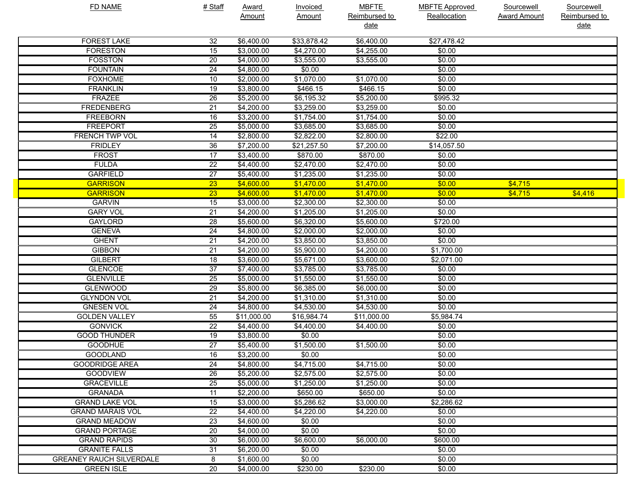| <b>FD NAME</b>                  | # Staff         | <b>Award</b> | <b>Invoiced</b> | <b>MBFTE</b>  | <b>MBFTE Approved</b> | Sourcewell          | Sourcewell    |
|---------------------------------|-----------------|--------------|-----------------|---------------|-----------------------|---------------------|---------------|
|                                 |                 | Amount       | <b>Amount</b>   | Reimbursed to | Reallocation          | <b>Award Amount</b> | Reimbursed to |
|                                 |                 |              |                 | <u>date</u>   |                       |                     | date          |
| <b>FOREST LAKE</b>              | 32              | \$6,400.00   | \$33,878.42     | \$6,400.00    | \$27,478.42           |                     |               |
| <b>FORESTON</b>                 | 15              | \$3,000.00   | \$4,270.00      | \$4,255.00    | \$0.00                |                     |               |
| <b>FOSSTON</b>                  | $\overline{20}$ | \$4,000.00   | \$3,555.00      | \$3,555.00    | \$0.00                |                     |               |
| <b>FOUNTAIN</b>                 | 24              | \$4,800.00   | \$0.00          |               | \$0.00                |                     |               |
| <b>FOXHOME</b>                  | 10              | \$2,000.00   | \$1,070.00      | \$1,070.00    | \$0.00                |                     |               |
| <b>FRANKLIN</b>                 | 19              | \$3,800.00   | \$466.15        | \$466.15      | \$0.00                |                     |               |
| <b>FRAZEE</b>                   | $\overline{26}$ | \$5,200.00   | \$6,195.32      | \$5,200.00    | \$995.32              |                     |               |
| <b>FREDENBERG</b>               | $\overline{21}$ | \$4,200.00   | \$3,259.00      | \$3,259.00    | \$0.00                |                     |               |
| <b>FREEBORN</b>                 | 16              | \$3,200.00   | \$1,754.00      | \$1,754.00    | \$0.00                |                     |               |
| <b>FREEPORT</b>                 | $\overline{25}$ | \$5,000.00   | \$3,685.00      | \$3,685.00    | \$0.00                |                     |               |
| <b>FRENCH TWP VOL</b>           | 14              | \$2,800.00   | \$2,822.00      | \$2,800.00    | \$22.00               |                     |               |
| <b>FRIDLEY</b>                  | 36              | \$7,200.00   | \$21,257.50     | \$7,200.00    | \$14,057.50           |                     |               |
| <b>FROST</b>                    | $\overline{17}$ | \$3,400.00   | \$870.00        | \$870.00      | \$0.00                |                     |               |
| <b>FULDA</b>                    | $\overline{22}$ | \$4,400.00   | \$2,470.00      | \$2,470.00    | \$0.00                |                     |               |
| <b>GARFIELD</b>                 | $\overline{27}$ | \$5,400.00   | \$1,235.00      | \$1,235.00    | \$0.00                |                     |               |
| <b>GARRISON</b>                 | $\overline{23}$ | \$4,600.00   | \$1,470.00      | \$1,470.00    | \$0.00                | \$4,715             |               |
| <b>GARRISON</b>                 | $\overline{23}$ | \$4,600.00   | \$1,470.00      | \$1,470.00    | \$0.00                | \$4,715             | \$4,416       |
| <b>GARVIN</b>                   | 15              | \$3,000.00   | \$2,300.00      | \$2,300.00    | \$0.00                |                     |               |
| <b>GARY VOL</b>                 | $\overline{21}$ | \$4,200.00   | \$1,205.00      | \$1,205.00    | \$0.00                |                     |               |
| <b>GAYLORD</b>                  | $\overline{28}$ | \$5,600.00   | \$6,320.00      | \$5,600.00    | \$720.00              |                     |               |
| <b>GENEVA</b>                   | $\overline{24}$ | \$4,800.00   | \$2,000.00      | \$2,000.00    | \$0.00                |                     |               |
| <b>GHENT</b>                    | $\overline{21}$ | \$4,200.00   | \$3,850.00      | \$3,850.00    | \$0.00                |                     |               |
| <b>GIBBON</b>                   | $\overline{21}$ | \$4,200.00   | \$5,900.00      | \$4,200.00    | \$1,700.00            |                     |               |
| <b>GILBERT</b>                  | 18              | \$3,600.00   | \$5,671.00      | \$3,600.00    | \$2,071.00            |                     |               |
| <b>GLENCOE</b>                  | $\overline{37}$ | \$7,400.00   | \$3,785.00      | \$3,785.00    | \$0.00                |                     |               |
| <b>GLENVILLE</b>                | $\overline{25}$ | \$5,000.00   | \$1,550.00      | \$1,550.00    | \$0.00                |                     |               |
| <b>GLENWOOD</b>                 | $\overline{29}$ | \$5,800.00   | \$6,385.00      | \$6,000.00    | \$0.00                |                     |               |
| <b>GLYNDON VOL</b>              | $\overline{21}$ | \$4,200.00   | \$1,310.00      | \$1,310.00    | \$0.00                |                     |               |
| <b>GNESEN VOL</b>               | 24              | \$4,800.00   | \$4,530.00      | \$4,530.00    | \$0.00                |                     |               |
| <b>GOLDEN VALLEY</b>            | $\overline{55}$ | \$11,000.00  | \$16,984.74     | \$11,000.00   | \$5,984.74            |                     |               |
| <b>GONVICK</b>                  | $\overline{22}$ | \$4,400.00   | \$4,400.00      | \$4,400.00    | \$0.00                |                     |               |
| <b>GOOD THUNDER</b>             | 19              | \$3,800.00   | \$0.00          |               | \$0.00                |                     |               |
| <b>GOODHUE</b>                  | $\overline{27}$ | \$5,400.00   | \$1,500.00      | \$1,500.00    | \$0.00                |                     |               |
| <b>GOODLAND</b>                 | 16              | \$3,200.00   | \$0.00          |               | \$0.00                |                     |               |
| <b>GOODRIDGE AREA</b>           | 24              | \$4,800.00   | \$4,715.00      | \$4,715.00    | \$0.00                |                     |               |
| <b>GOODVIEW</b>                 | 26              | \$5,200.00   | \$2,575.00      | \$2,575.00    | \$0.00                |                     |               |
| <b>GRACEVILLE</b>               | $\overline{25}$ | \$5,000.00   | \$1,250.00      | \$1,250.00    | \$0.00                |                     |               |
| <b>GRANADA</b>                  |                 |              | \$650.00        | \$650.00      | \$0.00                |                     |               |
|                                 | 11              | \$2,200.00   | \$5,286.62      |               |                       |                     |               |
| <b>GRAND LAKE VOL</b>           | 15              | \$3,000.00   |                 | \$3,000.00    | \$2,286.62            |                     |               |
| <b>GRAND MARAIS VOL</b>         | $\overline{22}$ | \$4,400.00   | \$4,220.00      | \$4,220.00    | \$0.00                |                     |               |
| <b>GRAND MEADOW</b>             | 23              | \$4,600.00   | \$0.00          |               | \$0.00                |                     |               |
| <b>GRAND PORTAGE</b>            | 20              | \$4,000.00   | \$0.00          |               | \$0.00                |                     |               |
| <b>GRAND RAPIDS</b>             | 30              | \$6,000.00   | \$6,600.00      | \$6,000.00    | \$600.00              |                     |               |
| <b>GRANITE FALLS</b>            | 31              | \$6,200.00   | \$0.00          |               | \$0.00                |                     |               |
| <b>GREANEY RAUCH SILVERDALE</b> | 8               | \$1,600.00   | \$0.00          |               | \$0.00                |                     |               |
| <b>GREEN ISLE</b>               | $\overline{20}$ | \$4,000.00   | \$230.00        | \$230.00      | \$0.00                |                     |               |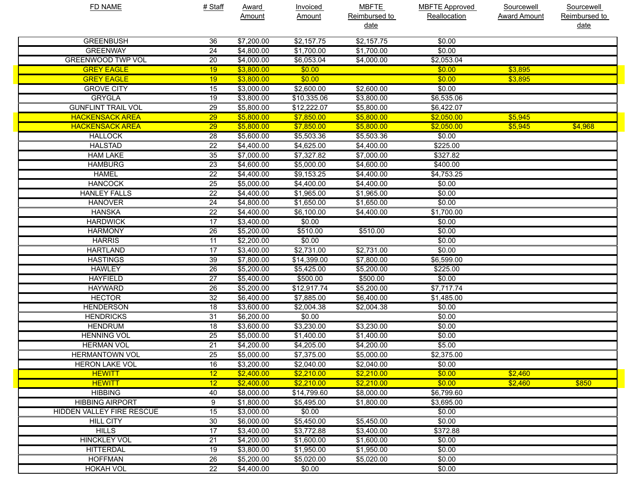| <b>FD NAME</b>                   | # Staff         | <b>Award</b> | <b>Invoiced</b> | <b>MBFTE</b>  | <b>MBFTE Approved</b> | <b>Sourcewell</b>   | <b>Sourcewell</b> |
|----------------------------------|-----------------|--------------|-----------------|---------------|-----------------------|---------------------|-------------------|
|                                  |                 | Amount       | Amount          | Reimbursed to | Reallocation          | <b>Award Amount</b> | Reimbursed to     |
|                                  |                 |              |                 | <u>date</u>   |                       |                     | <u>date</u>       |
| <b>GREENBUSH</b>                 | 36              | \$7,200.00   | \$2,157.75      | \$2,157.75    | \$0.00                |                     |                   |
| <b>GREENWAY</b>                  | 24              | \$4,800.00   | \$1,700.00      | \$1,700.00    | \$0.00                |                     |                   |
| <b>GREENWOOD TWP VOL</b>         | 20              | \$4,000.00   | \$6,053.04      | \$4,000.00    | \$2,053.04            |                     |                   |
| <b>GREY EAGLE</b>                | 19              | \$3,800.00   | \$0.00          |               | \$0.00                | \$3,895             |                   |
| <b>GREY EAGLE</b>                | 19              | \$3,800.00   | \$0.00          |               | \$0.00                | \$3,895             |                   |
| <b>GROVE CITY</b>                | 15              | \$3,000.00   | \$2,600.00      | \$2,600.00    | \$0.00                |                     |                   |
| <b>GRYGLA</b>                    | 19              | \$3,800.00   | \$10,335.06     | \$3,800.00    | \$6,535.06            |                     |                   |
| <b>GUNFLINT TRAIL VOL</b>        | 29              | \$5,800.00   | \$12,222.07     | \$5,800.00    | \$6,422.07            |                     |                   |
| <b>HACKENSACK AREA</b>           | 29              | \$5,800.00   | \$7,850.00      | \$5,800.00    | \$2,050.00            | \$5,945             |                   |
| <b>HACKENSACK AREA</b>           | 29              | \$5,800.00   | \$7,850.00      | \$5,800.00    | \$2,050.00            | \$5,945             | \$4,968           |
| <b>HALLOCK</b>                   | 28              | \$5,600.00   | \$5,503.36      | \$5,503.36    | \$0.00                |                     |                   |
| <b>HALSTAD</b>                   | 22              | \$4,400.00   | \$4,625.00      | \$4,400.00    | \$225.00              |                     |                   |
| <b>HAM LAKE</b>                  | 35              | \$7,000.00   | \$7,327.82      | \$7,000.00    | \$327.82              |                     |                   |
| <b>HAMBURG</b>                   | 23              | \$4,600.00   | \$5,000.00      | \$4,600.00    | \$400.00              |                     |                   |
| <b>HAMEL</b>                     | 22              | \$4,400.00   | \$9,153.25      | \$4,400.00    | \$4,753.25            |                     |                   |
| <b>HANCOCK</b>                   | 25              | \$5,000.00   | \$4,400.00      | \$4,400.00    | \$0.00                |                     |                   |
| <b>HANLEY FALLS</b>              | 22              | \$4,400.00   | \$1,965.00      | \$1,965.00    | \$0.00                |                     |                   |
| <b>HANOVER</b>                   | 24              | \$4,800.00   | \$1,650.00      | \$1,650.00    | \$0.00                |                     |                   |
| <b>HANSKA</b>                    | 22              | \$4,400.00   | \$6,100.00      | \$4,400.00    | \$1,700.00            |                     |                   |
| <b>HARDWICK</b>                  | 17              | \$3,400.00   | \$0.00          |               | \$0.00                |                     |                   |
| <b>HARMONY</b>                   | 26              | \$5,200.00   | \$510.00        | \$510.00      | \$0.00                |                     |                   |
| <b>HARRIS</b>                    | 11              | \$2,200.00   | \$0.00          |               | \$0.00                |                     |                   |
| <b>HARTLAND</b>                  | 17              | \$3,400.00   | \$2,731.00      | \$2,731.00    | \$0.00                |                     |                   |
| <b>HASTINGS</b>                  | 39              | \$7,800.00   | \$14,399.00     | \$7,800.00    | \$6,599.00            |                     |                   |
| <b>HAWLEY</b>                    | 26              | \$5,200.00   | \$5,425.00      | \$5,200.00    | \$225.00              |                     |                   |
| <b>HAYFIELD</b>                  | 27              | \$5,400.00   | \$500.00        | \$500.00      | \$0.00                |                     |                   |
| <b>HAYWARD</b>                   | 26              | \$5,200.00   | \$12,917.74     | \$5,200.00    | \$7,717.74            |                     |                   |
| <b>HECTOR</b>                    | 32              | \$6,400.00   | \$7,885.00      | \$6,400.00    | \$1,485.00            |                     |                   |
| <b>HENDERSON</b>                 | 18              | \$3,600.00   | \$2,004.38      | \$2,004.38    | \$0.00                |                     |                   |
| <b>HENDRICKS</b>                 | 31              | \$6,200.00   | \$0.00          |               | \$0.00                |                     |                   |
| <b>HENDRUM</b>                   | 18              | \$3,600.00   | \$3,230.00      | \$3,230.00    | \$0.00                |                     |                   |
| <b>HENNING VOL</b>               | 25              | \$5,000.00   | \$1,400.00      | \$1,400.00    | \$0.00                |                     |                   |
| <b>HERMAN VOL</b>                | 21              | \$4,200.00   | \$4,205.00      | \$4,200.00    | \$5.00                |                     |                   |
| <b>HERMANTOWN VOL</b>            | $\overline{25}$ | \$5,000.00   | \$7,375.00      | \$5,000.00    | \$2,375.00            |                     |                   |
| <b>HERON LAKE VOL</b>            | 16              | \$3,200.00   | \$2,040.00      | \$2,040.00    | \$0.00                |                     |                   |
| <b>HEWITT</b>                    | 12              | \$2,400.00   | \$2,210.00      | \$2,210.00    | \$0.00                | \$2,460             |                   |
| <b>HEWITT</b>                    | 12              | \$2,400.00   | \$2,210.00      | \$2,210.00    | \$0.00                | \$2,460             | \$850             |
| <b>HIBBING</b>                   | 40              | \$8,000.00   | \$14,799.60     | \$8,000.00    | \$6,799.60            |                     |                   |
| <b>HIBBING AIRPORT</b>           | 9               | \$1,800.00   | \$5,495.00      | \$1,800.00    | \$3,695.00            |                     |                   |
| <b>HIDDEN VALLEY FIRE RESCUE</b> | 15              | \$3,000.00   | \$0.00          |               | \$0.00                |                     |                   |
| <b>HILL CITY</b>                 | 30              | \$6,000.00   | \$5,450.00      | \$5,450.00    | \$0.00                |                     |                   |
| <b>HILLS</b>                     | 17              | \$3,400.00   | \$3,772.88      | \$3,400.00    | \$372.88              |                     |                   |
| <b>HINCKLEY VOL</b>              | 21              | \$4,200.00   | \$1,600.00      | \$1,600.00    | \$0.00                |                     |                   |
| <b>HITTERDAL</b>                 | 19              | \$3,800.00   | \$1,950.00      | \$1,950.00    | \$0.00                |                     |                   |
| <b>HOFFMAN</b>                   | 26              | \$5,200.00   | \$5,020.00      | \$5,020.00    | \$0.00                |                     |                   |
| <b>HOKAH VOL</b>                 | 22              | \$4,400.00   | \$0.00          |               | \$0.00                |                     |                   |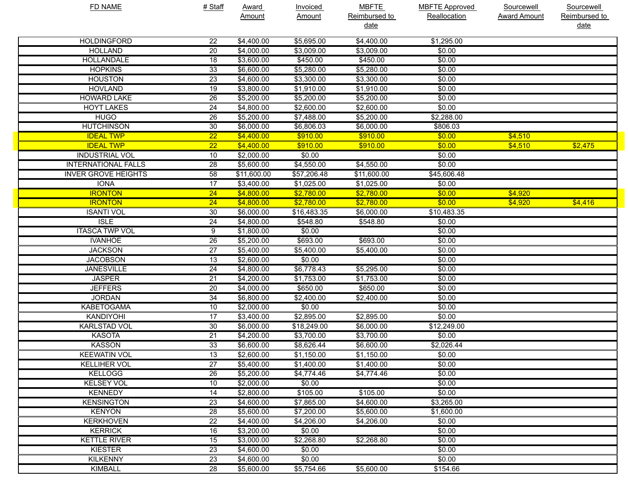| <b>FD NAME</b>             | # Staff         | <b>Award</b>           | <b>Invoiced</b> | <b>MBFTE</b>  | <b>MBFTE Approved</b> | Sourcewell          | Sourcewell    |
|----------------------------|-----------------|------------------------|-----------------|---------------|-----------------------|---------------------|---------------|
|                            |                 | Amount                 | <b>Amount</b>   | Reimbursed to | Reallocation          | <b>Award Amount</b> | Reimbursed to |
|                            |                 |                        |                 | <u>date</u>   |                       |                     | date          |
| <b>HOLDINGFORD</b>         | 22              | \$4,400.00             | \$5,695.00      | \$4,400.00    | \$1,295.00            |                     |               |
| <b>HOLLAND</b>             | 20              | \$4,000.00             | \$3,009.00      | \$3,009.00    | \$0.00                |                     |               |
| HOLLANDALE                 | 18              | \$3,600.00             | \$450.00        | \$450.00      | \$0.00                |                     |               |
| <b>HOPKINS</b>             | 33              | \$6,600.00             | \$5,280.00      | \$5,280.00    | \$0.00                |                     |               |
| <b>HOUSTON</b>             | 23              | \$4,600.00             | \$3,300.00      | \$3,300.00    | \$0.00                |                     |               |
| <b>HOVLAND</b>             | 19              | \$3,800.00             | \$1,910.00      | \$1,910.00    | \$0.00                |                     |               |
| <b>HOWARD LAKE</b>         | 26              | \$5,200.00             | \$5,200.00      | \$5,200.00    | \$0.00                |                     |               |
| <b>HOYT LAKES</b>          | 24              | \$4,800.00             | \$2,600.00      | \$2,600.00    | \$0.00                |                     |               |
| <b>HUGO</b>                | 26              | \$5,200.00             | \$7,488.00      | \$5,200.00    | \$2,288.00            |                     |               |
| <b>HUTCHINSON</b>          | 30              | $\overline{$6,000.00}$ | \$6,806.03      | \$6,000.00    | \$806.03              |                     |               |
| <b>IDEAL TWP</b>           | $\overline{22}$ | \$4,400.00             | \$910.00        | \$910.00      | \$0.00                | \$4,510             |               |
| <b>IDEAL TWP</b>           | $\overline{22}$ | \$4,400.00             | \$910.00        | \$910.00      | \$0.00                | \$4,510             | \$2,475       |
| <b>INDUSTRIAL VOL</b>      | 10              | \$2,000.00             | \$0.00          |               | \$0.00                |                     |               |
| <b>INTERNATIONAL FALLS</b> | 28              | \$5,600.00             | \$4,550.00      | \$4,550.00    | \$0.00                |                     |               |
| <b>INVER GROVE HEIGHTS</b> | $\overline{58}$ | \$11,600.00            | \$57,206.48     | \$11,600.00   | \$45,606.48           |                     |               |
| <b>IONA</b>                | $\overline{17}$ | \$3,400.00             | \$1,025.00      | \$1,025.00    | \$0.00                |                     |               |
| <b>IRONTON</b>             | $\overline{24}$ | \$4,800.00             | \$2,780.00      | \$2,780.00    | \$0.00                | \$4,920             |               |
| <b>IRONTON</b>             | $\overline{24}$ | \$4,800.00             | \$2,780.00      | \$2,780.00    | \$0.00                | \$4,920             | \$4,416       |
| <b>ISANTI VOL</b>          | 30              | \$6,000.00             | \$16,483.35     | \$6,000.00    | \$10,483.35           |                     |               |
| <b>ISLE</b>                | 24              | \$4,800.00             | \$548.80        | \$548.80      | \$0.00                |                     |               |
| <b>ITASCA TWP VOL</b>      | 9               | \$1,800.00             | \$0.00          |               | \$0.00                |                     |               |
| <b>IVANHOE</b>             | 26              | \$5,200.00             | \$693.00        | \$693.00      | \$0.00                |                     |               |
| <b>JACKSON</b>             | $\overline{27}$ | \$5,400.00             | \$5,400.00      | \$5,400.00    | \$0.00                |                     |               |
| <b>JACOBSON</b>            | $\overline{13}$ | \$2,600.00             | \$0.00          |               | \$0.00                |                     |               |
| <b>JANESVILLE</b>          | 24              | \$4,800.00             | \$6,778.43      | \$5,295.00    | \$0.00                |                     |               |
| <b>JASPER</b>              | 21              | \$4,200.00             | \$1,753.00      | \$1,753.00    | \$0.00                |                     |               |
| <b>JEFFERS</b>             | 20              | \$4,000.00             | \$650.00        | \$650.00      | \$0.00                |                     |               |
| <b>JORDAN</b>              | 34              | \$6,800.00             | \$2,400.00      | \$2,400.00    | \$0.00                |                     |               |
| <b>KABETOGAMA</b>          | 10              | \$2,000.00             | \$0.00          |               | \$0.00                |                     |               |
| KANDIYOHI                  | $\overline{17}$ | \$3,400.00             | \$2,895.00      | \$2,895.00    | \$0.00                |                     |               |
| <b>KARLSTAD VOL</b>        | 30              | \$6,000.00             | \$18,249.00     | \$6,000.00    | \$12,249.00           |                     |               |
| <b>KASOTA</b>              | 21              | \$4,200.00             | \$3,700.00      | \$3,700.00    | \$0.00                |                     |               |
| <b>KASSON</b>              | 33              | \$6,600.00             | \$8,626.44      | \$6,600.00    | \$2,026.44            |                     |               |
| <b>KEEWATIN VOL</b>        | 13              | \$2,600.00             | \$1,150.00      | \$1,150.00    | \$0.00                |                     |               |
| <b>KELLIHER VOL</b>        | 27              | \$5,400.00             | \$1,400.00      | \$1,400.00    | \$0.00                |                     |               |
| <b>KELLOGG</b>             | 26              | \$5,200.00             | \$4,774.46      | \$4,774.46    | \$0.00                |                     |               |
| <b>KELSEY VOL</b>          | 10              | \$2,000.00             | \$0.00          |               | \$0.00                |                     |               |
| <b>KENNEDY</b>             | $\overline{14}$ | \$2,800.00             | \$105.00        | \$105.00      | \$0.00                |                     |               |
| <b>KENSINGTON</b>          | 23              | \$4,600.00             | \$7,865.00      | \$4,600.00    | \$3,265.00            |                     |               |
| <b>KENYON</b>              | 28              | \$5,600.00             | \$7,200.00      | \$5,600.00    | \$1,600.00            |                     |               |
| <b>KERKHOVEN</b>           | $\overline{22}$ | \$4,400.00             | \$4,206.00      | \$4,206.00    | \$0.00                |                     |               |
| <b>KERRICK</b>             | 16              | \$3,200.00             | \$0.00          |               | \$0.00                |                     |               |
| <b>KETTLE RIVER</b>        | 15              | \$3,000.00             | \$2,268.80      | \$2,268.80    | \$0.00                |                     |               |
| <b>KIESTER</b>             | 23              | \$4,600.00             | \$0.00          |               | \$0.00                |                     |               |
| <b>KILKENNY</b>            | 23              | \$4,600.00             | \$0.00          |               | \$0.00                |                     |               |
| <b>KIMBALL</b>             | 28              | \$5,600.00             | \$5,754.66      | \$5,600.00    | \$154.66              |                     |               |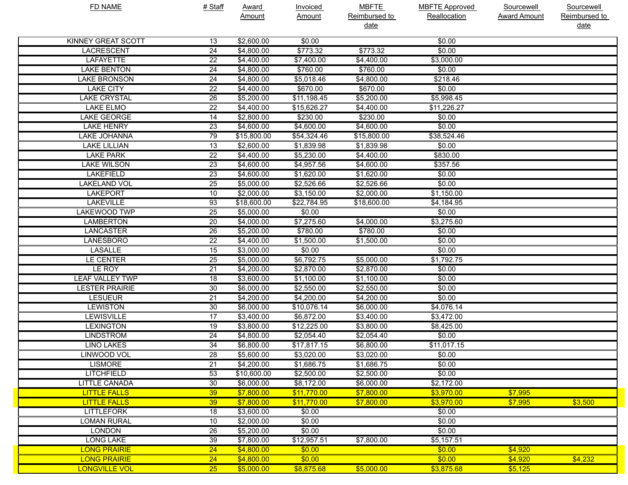| <b>FD NAME</b>            | # Staff         | <b>Award</b> | <b>Invoiced</b> | <b>MBFTE</b>  | <b>MBFTE Approved</b> | Sourcewell          | Sourcewell    |
|---------------------------|-----------------|--------------|-----------------|---------------|-----------------------|---------------------|---------------|
|                           |                 | Amount       | <b>Amount</b>   | Reimbursed to | Reallocation          | <b>Award Amount</b> | Reimbursed to |
|                           |                 |              |                 | date          |                       |                     | date          |
| <b>KINNEY GREAT SCOTT</b> | 13              | \$2,600.00   | \$0.00          |               | \$0.00                |                     |               |
| <b>LACRESCENT</b>         | 24              | \$4,800.00   | \$773.32        | \$773.32      | \$0.00                |                     |               |
| <b>LAFAYETTE</b>          | $\overline{22}$ | \$4,400.00   | \$7,400.00      | \$4,400.00    | \$3,000.00            |                     |               |
| <b>LAKE BENTON</b>        | 24              | \$4,800.00   | \$760.00        | \$760.00      | \$0.00                |                     |               |
| <b>LAKE BRONSON</b>       | 24              | \$4,800.00   | \$5,018.46      | \$4,800.00    | \$218.46              |                     |               |
| <b>LAKE CITY</b>          | $\overline{22}$ | \$4,400.00   | \$670.00        | \$670.00      | \$0.00                |                     |               |
| <b>LAKE CRYSTAL</b>       | 26              | \$5,200.00   | \$11,198.45     | \$5,200.00    | \$5,998.45            |                     |               |
| <b>LAKE ELMO</b>          | $\overline{22}$ | \$4,400.00   | \$15,626.27     | \$4,400.00    | \$11,226.27           |                     |               |
| <b>LAKE GEORGE</b>        | 14              | \$2,800.00   | \$230.00        | \$230.00      | \$0.00                |                     |               |
| <b>LAKE HENRY</b>         | 23              | \$4,600.00   | \$4,600.00      | \$4,600.00    | \$0.00                |                     |               |
| LAKE JOHANNA              | 79              | \$15,800.00  | \$54,324.46     | \$15,800.00   | \$38,524.46           |                     |               |
| <b>LAKE LILLIAN</b>       | 13              | \$2,600.00   | \$1,839.98      | \$1,839.98    | \$0.00                |                     |               |
| <b>LAKE PARK</b>          | $\overline{22}$ | \$4,400.00   | \$5,230.00      | \$4,400.00    | \$830.00              |                     |               |
| <b>LAKE WILSON</b>        | $\overline{23}$ | \$4,600.00   | \$4,957.56      | \$4,600.00    | \$357.56              |                     |               |
| <b>LAKEFIELD</b>          | $\overline{23}$ | \$4,600.00   | \$1,620.00      | \$1,620.00    | \$0.00                |                     |               |
| <b>LAKELAND VOL</b>       | 25              | \$5,000.00   | \$2,526.66      | \$2,526.66    | \$0.00                |                     |               |
| <b>LAKEPORT</b>           | 10              | \$2,000.00   | \$3,150.00      | \$2,000.00    | \$1,150.00            |                     |               |
| <b>LAKEVILLE</b>          | 93              | \$18,600.00  | \$22,784.95     | \$18,600.00   | \$4,184.95            |                     |               |
| LAKEWOOD TWP              | 25              | \$5,000.00   | \$0.00          |               | \$0.00                |                     |               |
| <b>LAMBERTON</b>          | 20              | \$4,000.00   | \$7,275.60      | \$4,000.00    | \$3,275.60            |                     |               |
| <b>LANCASTER</b>          | 26              | \$5,200.00   | \$780.00        | \$780.00      | \$0.00                |                     |               |
| <b>LANESBORO</b>          | $\overline{22}$ | \$4,400.00   | \$1,500.00      | \$1,500.00    | \$0.00                |                     |               |
| LASALLE                   | 15              | \$3,000.00   | \$0.00          |               | \$0.00                |                     |               |
| <b>LE CENTER</b>          | $\overline{25}$ | \$5,000.00   | \$6,792.75      | \$5,000.00    | \$1,792.75            |                     |               |
| LE ROY                    | $\overline{21}$ | \$4,200.00   | \$2,870.00      | \$2,870.00    | \$0.00                |                     |               |
| <b>LEAF VALLEY TWP</b>    | 18              | \$3,600.00   | \$1,100.00      | \$1,100.00    | \$0.00                |                     |               |
| <b>LESTER PRAIRIE</b>     | 30              | \$6,000.00   | \$2,550.00      | \$2,550.00    | \$0.00                |                     |               |
| <b>LESUEUR</b>            | 21              | \$4,200.00   | \$4,200.00      | \$4,200.00    | \$0.00                |                     |               |
| <b>LEWISTON</b>           | 30              | \$6,000.00   | \$10,076.14     | \$6,000.00    | $\sqrt{4,076.14}$     |                     |               |
| LEWISVILLE                | $\overline{17}$ | \$3,400.00   | \$6,872.00      | \$3,400.00    | \$3,472.00            |                     |               |
| <b>LEXINGTON</b>          | 19              | \$3,800.00   | \$12,225.00     | \$3,800.00    | \$8,425.00            |                     |               |
| <b>LINDSTROM</b>          | 24              | \$4,800.00   | \$2,054.40      | \$2,054.40    | \$0.00                |                     |               |
| <b>LINO LAKES</b>         | 34              | \$6,800.00   | \$17,817.15     | \$6,800.00    | \$11,017.15           |                     |               |
| <b>LINWOOD VOL</b>        | $\overline{28}$ | \$5,600.00   | \$3,020.00      | \$3,020.00    | \$0.00                |                     |               |
| <b>LISMORE</b>            | 21              | \$4,200.00   | \$1,686.75      | \$1,686.75    | \$0.00                |                     |               |
| <b>LITCHFIELD</b>         | 53              | \$10,600.00  | \$2,500.00      | \$2,500.00    | \$0.00                |                     |               |
| <b>LITTLE CANADA</b>      | 30              | \$6,000.00   | \$8,172.00      | \$6,000.00    | \$2,172.00            |                     |               |
| <b>LITTLE FALLS</b>       | 39              | \$7,800.00   | \$11,770.00     | \$7,800.00    | \$3,970.00            | \$7,995             |               |
| <b>LITTLE FALLS</b>       | 39              | \$7,800.00   | \$11,770.00     | \$7,800.00    | \$3,970.00            | \$7,995             | \$3,500       |
| <b>LITTLEFORK</b>         | 18              | \$3,600.00   | \$0.00          |               | \$0.00                |                     |               |
| <b>LOMAN RURAL</b>        | 10              | \$2,000.00   | \$0.00          |               | \$0.00                |                     |               |
| <b>LONDON</b>             | 26              | \$5,200.00   | \$0.00          |               | \$0.00                |                     |               |
| <b>LONG LAKE</b>          | 39              | \$7,800.00   | \$12,957.51     | \$7,800.00    | \$5,157.51            |                     |               |
| <b>LONG PRAIRIE</b>       | 24              | \$4,800.00   | \$0.00          |               | \$0.00                | \$4,920             |               |
| <b>LONG PRAIRIE</b>       | 24              | \$4,800.00   | \$0.00          |               | \$0.00                | \$4,920             | \$4,232       |
| <b>LONGVILLE VOL</b>      | 25              | \$5,000.00   | \$8,875.68      | \$5,000.00    | \$3,875.68            | \$5,125             |               |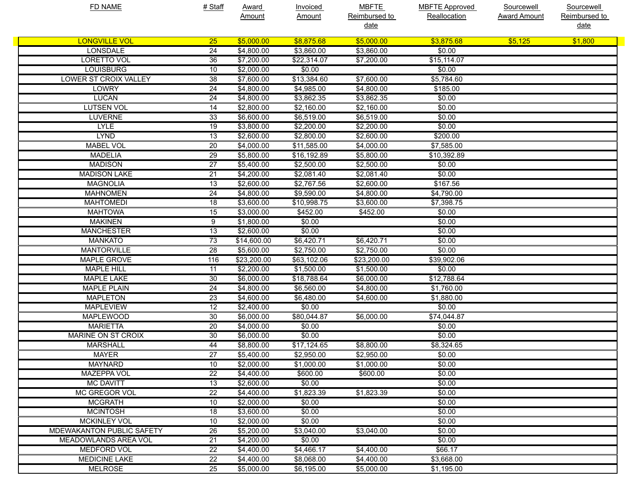| <b>FD NAME</b>                   | # Staff         | Award       | <b>Invoiced</b>   | <b>MBFTE</b>  | <b>MBFTE Approved</b> | Sourcewell          | Sourcewell    |
|----------------------------------|-----------------|-------------|-------------------|---------------|-----------------------|---------------------|---------------|
|                                  |                 | Amount      | <b>Amount</b>     | Reimbursed to | Reallocation          | <b>Award Amount</b> | Reimbursed to |
|                                  |                 |             |                   | <u>date</u>   |                       |                     | <u>date</u>   |
| <b>LONGVILLE VOL</b>             | 25              | \$5,000.00  | \$8,875.68        | \$5,000.00    | \$3,875.68            | \$5,125             | \$1,800       |
| <b>LONSDALE</b>                  | 24              | \$4,800.00  | \$3,860.00        | \$3,860.00    | \$0.00                |                     |               |
| <b>LORETTO VOL</b>               | 36              | \$7,200.00  | \$22,314.07       | \$7,200.00    | \$15, 114.07          |                     |               |
| <b>LOUISBURG</b>                 | 10              | \$2,000.00  | \$0.00            |               | \$0.00                |                     |               |
| <b>LOWER ST CROIX VALLEY</b>     | 38              | \$7,600.00  | \$13,384.60       | \$7,600.00    | \$5,784.60            |                     |               |
| <b>LOWRY</b>                     | 24              | \$4,800.00  | \$4,985.00        | \$4,800.00    | \$185.00              |                     |               |
| <b>LUCAN</b>                     | 24              | \$4,800.00  | \$3,862.35        | \$3,862.35    | \$0.00                |                     |               |
| <b>LUTSEN VOL</b>                | 14              | \$2,800.00  | \$2,160.00        | \$2,160.00    | \$0.00                |                     |               |
| <b>LUVERNE</b>                   | 33              | \$6,600.00  | \$6,519.00        | \$6,519.00    | \$0.00                |                     |               |
| <b>LYLE</b>                      | 19              | \$3,800.00  | \$2,200.00        | \$2,200.00    | \$0.00                |                     |               |
| <b>LYND</b>                      | 13              | \$2,600.00  | \$2,800.00        | \$2,600.00    | \$200.00              |                     |               |
| <b>MABEL VOL</b>                 | 20              | \$4,000.00  | \$11,585.00       | \$4,000.00    | \$7,585.00            |                     |               |
| <b>MADELIA</b>                   | 29              | \$5,800.00  | \$16,192.89       | \$5,800.00    | \$10,392.89           |                     |               |
| <b>MADISON</b>                   | $\overline{27}$ | \$5,400.00  | \$2,500.00        | \$2,500.00    | \$0.00                |                     |               |
| <b>MADISON LAKE</b>              | 21              | \$4,200.00  | \$2,081.40        | \$2,081.40    | \$0.00                |                     |               |
| <b>MAGNOLIA</b>                  | 13              | \$2,600.00  | \$2,767.56        | \$2,600.00    | $\overline{$167.56}$  |                     |               |
| <b>MAHNOMEN</b>                  | 24              | \$4,800.00  | \$9,590.00        | \$4,800.00    | \$4,790.00            |                     |               |
| <b>MAHTOMEDI</b>                 | 18              | \$3,600.00  | \$10,998.75       | \$3,600.00    | \$7,398.75            |                     |               |
| <b>MAHTOWA</b>                   | 15              | \$3,000.00  | \$452.00          | \$452.00      | \$0.00                |                     |               |
| <b>MAKINEN</b>                   | 9               | \$1,800.00  | \$0.00            |               | \$0.00                |                     |               |
| <b>MANCHESTER</b>                | 13              | \$2,600.00  | \$0.00            |               | \$0.00                |                     |               |
| <b>MANKATO</b>                   | $\overline{73}$ | \$14,600.00 | \$6,420.71        | \$6,420.71    | \$0.00                |                     |               |
| <b>MANTORVILLE</b>               | 28              | \$5,600.00  | $\sqrt{2,750.00}$ | \$2,750.00    | \$0.00                |                     |               |
| <b>MAPLE GROVE</b>               | 116             | \$23,200.00 | \$63,102.06       | \$23,200.00   | \$39,902.06           |                     |               |
| <b>MAPLE HILL</b>                | 11              | \$2,200.00  | \$1,500.00        | \$1,500.00    | \$0.00                |                     |               |
| <b>MAPLE LAKE</b>                | 30              | \$6,000.00  | \$18,788.64       | \$6,000.00    | \$12,788.64           |                     |               |
| <b>MAPLE PLAIN</b>               | 24              | \$4,800.00  | \$6,560.00        | \$4,800.00    | \$1,760.00            |                     |               |
| <b>MAPLETON</b>                  | 23              | \$4,600.00  | \$6,480.00        | \$4,600.00    | \$1,880.00            |                     |               |
| <b>MAPLEVIEW</b>                 | 12              | \$2,400.00  | \$0.00            |               | \$0.00                |                     |               |
| <b>MAPLEWOOD</b>                 | 30              | \$6,000.00  | \$80,044.87       | \$6,000.00    | \$74,044.87           |                     |               |
| <b>MARIETTA</b>                  | 20              | \$4,000.00  | \$0.00            |               | \$0.00                |                     |               |
| <b>MARINE ON ST CROIX</b>        | 30              | \$6,000.00  | \$0.00            |               | \$0.00                |                     |               |
| <b>MARSHALL</b>                  | 44              | \$8,800.00  | \$17,124.65       | \$8,800.00    | \$8,324.65            |                     |               |
| <b>MAYER</b>                     | $\overline{27}$ | \$5,400.00  | \$2,950.00        | \$2,950.00    | \$0.00                |                     |               |
| <b>MAYNARD</b>                   | 10              | \$2,000.00  | \$1,000.00        | \$1,000.00    | \$0.00                |                     |               |
| <b>MAZEPPA VOL</b>               | $\overline{22}$ | \$4,400.00  | \$600.00          | \$600.00      | \$0.00                |                     |               |
| <b>MC DAVITT</b>                 | 13              | \$2,600.00  | \$0.00            |               | \$0.00                |                     |               |
| MC GREGOR VOL                    | 22              | \$4,400.00  | \$1,823.39        | \$1,823.39    | \$0.00                |                     |               |
| <b>MCGRATH</b>                   | 10              | \$2,000.00  | \$0.00            |               | \$0.00                |                     |               |
| <b>MCINTOSH</b>                  | 18              | \$3,600.00  | \$0.00            |               | \$0.00                |                     |               |
| <b>MCKINLEY VOL</b>              | 10              | \$2,000.00  | \$0.00            |               | \$0.00                |                     |               |
| <b>MDEWAKANTON PUBLIC SAFETY</b> | 26              | \$5,200.00  | \$3,040.00        | \$3,040.00    | \$0.00                |                     |               |
| <b>MEADOWLANDS AREA VOL</b>      | $\overline{21}$ | \$4,200.00  | \$0.00            |               | \$0.00                |                     |               |
| <b>MEDFORD VOL</b>               | 22              | \$4,400.00  | \$4,466.17        | \$4,400.00    | \$66.17               |                     |               |
| <b>MEDICINE LAKE</b>             | 22              | \$4,400.00  | \$8,068.00        | \$4,400.00    | \$3,668.00            |                     |               |
| <b>MELROSE</b>                   | $\overline{25}$ | \$5,000.00  | \$6,195.00        | \$5,000.00    | \$1,195.00            |                     |               |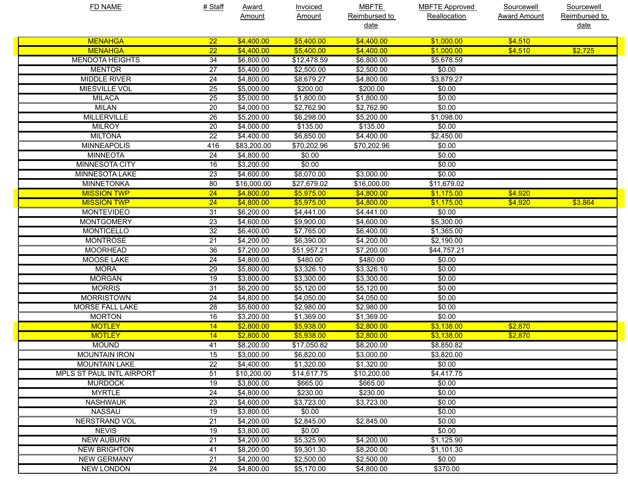| <b>FD NAME</b>            | # Staff         | <b>Award</b> | <b>Invoiced</b> | <b>MBFTE</b>           | <b>MBFTE Approved</b> | Sourcewell          | Sourcewell    |
|---------------------------|-----------------|--------------|-----------------|------------------------|-----------------------|---------------------|---------------|
|                           |                 | Amount       | <b>Amount</b>   | Reimbursed to          | Reallocation          | <b>Award Amount</b> | Reimbursed to |
|                           |                 |              |                 | <u>date</u>            |                       |                     | <u>date</u>   |
| <b>MENAHGA</b>            | 22              | \$4,400.00   | \$5,400.00      | \$4,400.00             | \$1,000.00            | \$4,510             |               |
| <b>MENAHGA</b>            | $\overline{22}$ | \$4,400.00   | \$5,400.00      | \$4,400.00             | \$1,000.00            | \$4,510             | \$2,725       |
| <b>MENDOTA HEIGHTS</b>    | 34              | \$6,800.00   | \$12,478.59     | \$6,800.00             | \$5,678.59            |                     |               |
| <b>MENTOR</b>             | 27              | \$5,400.00   | \$2,500.00      | \$2,500.00             | \$0.00                |                     |               |
| <b>MIDDLE RIVER</b>       | 24              | \$4,800.00   | \$8,679.27      | \$4,800.00             | \$3,879.27            |                     |               |
| MIESVILLE VOL             | 25              | \$5,000.00   | \$200.00        | \$200.00               | \$0.00                |                     |               |
| <b>MILACA</b>             | 25              | \$5,000.00   | \$1,800.00      | \$1,800.00             | \$0.00                |                     |               |
| <b>MILAN</b>              | 20              | \$4,000.00   | \$2,762.90      | \$2,762.90             | \$0.00                |                     |               |
| <b>MILLERVILLE</b>        | 26              | \$5,200.00   | \$6,298.00      | \$5,200.00             | \$1,098.00            |                     |               |
| <b>MILROY</b>             | 20              | \$4,000.00   | \$135.00        | \$135.00               | \$0.00                |                     |               |
| <b>MILTONA</b>            | 22              | \$4,400.00   | \$6,850.00      | \$4,400.00             | \$2,450.00            |                     |               |
| <b>MINNEAPOLIS</b>        | 416             | \$83,200.00  | \$70,202.96     | \$70,202.96            | \$0.00                |                     |               |
| <b>MINNEOTA</b>           | 24              | \$4,800.00   | \$0.00          |                        | \$0.00                |                     |               |
| <b>MINNESOTA CITY</b>     | 16              | \$3,200.00   | \$0.00          |                        | \$0.00                |                     |               |
| <b>MINNESOTA LAKE</b>     | 23              | \$4,600.00   | \$8,070.00      | \$3,000.00             | \$0.00                |                     |               |
| <b>MINNETONKA</b>         | 80              | \$16,000.00  | \$27,679.02     | \$16,000.00            | \$11,679.02           |                     |               |
| <b>MISSION TWP</b>        | $\overline{24}$ | \$4,800.00   | \$5,975.00      | \$4,800.00             | \$1,175.00            | \$4,920             |               |
| <b>MISSION TWP</b>        | 24              | \$4,800.00   | \$5,975.00      | \$4,800.00             | \$1,175.00            | \$4,920             | \$3,864       |
| <b>MONTEVIDEO</b>         | 31              | \$6,200.00   | \$4,441.00      | \$4,441.00             | \$0.00                |                     |               |
| <b>MONTGOMERY</b>         | 23              | \$4,600.00   | \$9,900.00      | \$4,600.00             | \$5,300.00            |                     |               |
| <b>MONTICELLO</b>         | 32              | \$6,400.00   | \$7,765.00      | \$6,400.00             | \$1,365.00            |                     |               |
| <b>MONTROSE</b>           | $\overline{21}$ | \$4,200.00   | \$6,390.00      | \$4,200.00             | \$2,190.00            |                     |               |
| <b>MOORHEAD</b>           | 36              | \$7,200.00   | \$51,957.21     | \$7,200.00             | \$44,757.21           |                     |               |
| MOOSE LAKE                | 24              | \$4,800.00   | \$480.00        | \$480.00               | \$0.00                |                     |               |
| <b>MORA</b>               | 29              | \$5,800.00   | \$3,326.10      | \$3,326.10             | \$0.00                |                     |               |
| <b>MORGAN</b>             | 19              | \$3,800.00   | \$3,300.00      | \$3,300.00             | \$0.00                |                     |               |
| <b>MORRIS</b>             | 31              | \$6,200.00   | \$5,120.00      | \$5,120.00             | \$0.00                |                     |               |
| <b>MORRISTOWN</b>         | 24              | \$4,800.00   | \$4,050.00      | \$4,050.00             | \$0.00                |                     |               |
| <b>MORSE FALL LAKE</b>    | 28              | \$5,600.00   | \$2,980.00      | \$2,980.00             | \$0.00                |                     |               |
| <b>MORTON</b>             | 16              | \$3,200.00   | \$1,369.00      | \$1,369.00             | \$0.00                |                     |               |
| <b>MOTLEY</b>             | 14              | \$2,800.00   | \$5,938.00      | \$2,800.00             | \$3,138.00            | \$2,870             |               |
| <b>MOTLEY</b>             | 14              | \$2,800.00   | \$5,938.00      | \$2,800.00             | \$3,138.00            | \$2,870             |               |
| <b>MOUND</b>              | 41              | \$8,200.00   | \$17,050.82     | \$8,200.00             | \$8,850.82            |                     |               |
| <b>MOUNTAIN IRON</b>      | 15              | \$3,000.00   | \$6,820.00      | \$3,000.00             | \$3,820.00            |                     |               |
| <b>MOUNTAIN LAKE</b>      | 22              | \$4,400.00   | \$1,320.00      | \$1,320.00             | \$0.00                |                     |               |
| MPLS ST PAUL INTL AIRPORT | 51              | \$10,200.00  | \$14,617.75     | \$10,200.00            | \$4,417.75            |                     |               |
| <b>MURDOCK</b>            | 19              | \$3,800.00   | \$665.00        | \$665.00               | \$0.00                |                     |               |
| <b>MYRTLE</b>             | 24              | \$4,800.00   | \$230.00        | \$230.00               | \$0.00                |                     |               |
| <b>NASHWAUK</b>           | 23              | \$4,600.00   | \$3,723.00      | $\overline{$3,723.00}$ | \$0.00                |                     |               |
| <b>NASSAU</b>             | 19              | \$3,800.00   | \$0.00          |                        | \$0.00                |                     |               |
| <b>NERSTRAND VOL</b>      | $\overline{21}$ | \$4,200.00   | \$2,845.00      | \$2,845.00             | \$0.00                |                     |               |
| <b>NEVIS</b>              | 19              | \$3,800.00   | \$0.00          |                        | \$0.00                |                     |               |
| <b>NEW AUBURN</b>         | $\overline{21}$ | \$4,200.00   | \$5,325.90      | \$4,200.00             | \$1,125.90            |                     |               |
| <b>NEW BRIGHTON</b>       | 41              | \$8,200.00   | \$9,301.30      | \$8,200.00             | \$1,101.30            |                     |               |
| <b>NEW GERMANY</b>        | $\overline{21}$ | \$4,200.00   | \$2,500.00      | \$2,500.00             | \$0.00                |                     |               |
| <b>NEW LONDON</b>         | 24              | \$4,800.00   | \$5,170.00      | \$4,800.00             | \$370.00              |                     |               |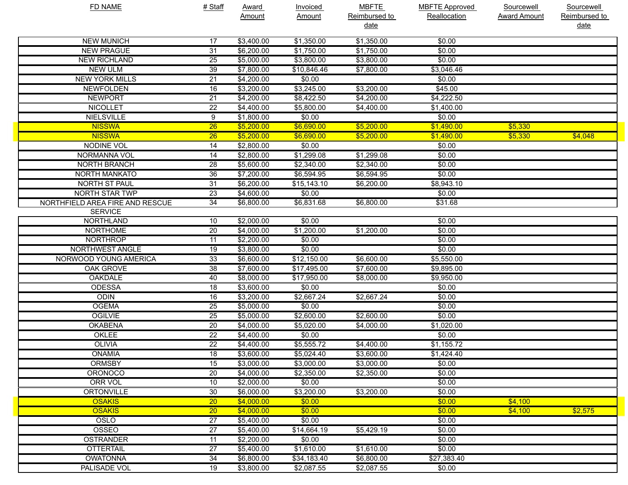| <b>FD NAME</b>                  | # Staff         | <b>Award</b> | <b>Invoiced</b> | <b>MBFTE</b>          | <b>MBFTE Approved</b> | Sourcewell          | Sourcewell            |
|---------------------------------|-----------------|--------------|-----------------|-----------------------|-----------------------|---------------------|-----------------------|
|                                 |                 | Amount       | <b>Amount</b>   | Reimbursed to<br>date | Reallocation          | <b>Award Amount</b> | Reimbursed to<br>date |
| <b>NEW MUNICH</b>               | 17              | \$3,400.00   | \$1,350.00      | \$1,350.00            | \$0.00                |                     |                       |
| <b>NEW PRAGUE</b>               | $\overline{31}$ | \$6,200.00   | \$1,750.00      | \$1,750.00            | \$0.00                |                     |                       |
| <b>NEW RICHLAND</b>             | 25              | \$5,000.00   | \$3,800.00      | \$3,800.00            | \$0.00                |                     |                       |
| <b>NEW ULM</b>                  | 39              | \$7,800.00   | \$10,846.46     | \$7,800.00            | \$3,046.46            |                     |                       |
| <b>NEW YORK MILLS</b>           | $\overline{21}$ | \$4,200.00   | \$0.00          |                       | \$0.00                |                     |                       |
| <b>NEWFOLDEN</b>                | 16              | \$3,200.00   | \$3,245.00      | \$3,200.00            | \$45.00               |                     |                       |
| <b>NEWPORT</b>                  | $\overline{21}$ | \$4,200.00   | \$8,422.50      | \$4,200.00            | \$4,222.50            |                     |                       |
| <b>NICOLLET</b>                 | 22              | \$4,400.00   | \$5,800.00      | \$4,400.00            | \$1,400.00            |                     |                       |
| <b>NIELSVILLE</b>               | 9               | \$1,800.00   | \$0.00          |                       | \$0.00                |                     |                       |
| <b>NISSWA</b>                   | $\overline{26}$ | \$5,200.00   | \$6,690.00      | \$5,200.00            | \$1,490.00            | \$5,330             |                       |
| <b>NISSWA</b>                   | $\overline{26}$ | \$5,200.00   | \$6,690.00      | \$5,200.00            | \$1,490.00            | \$5,330             | \$4,048               |
| <b>NODINE VOL</b>               | 14              | \$2,800.00   | \$0.00          |                       | \$0.00                |                     |                       |
| NORMANNA VOL                    | 14              | \$2,800.00   | \$1,299.08      | \$1,299.08            | \$0.00                |                     |                       |
| <b>NORTH BRANCH</b>             | 28              | \$5,600.00   | \$2,340.00      | \$2,340.00            | \$0.00                |                     |                       |
| <b>NORTH MANKATO</b>            | 36              | \$7,200.00   | \$6,594.95      | \$6,594.95            | \$0.00                |                     |                       |
| <b>NORTH ST PAUL</b>            | 31              | \$6,200.00   | \$15,143.10     | \$6,200.00            | \$8,943.10            |                     |                       |
| <b>NORTH STAR TWP</b>           | 23              | \$4,600.00   | \$0.00          |                       | \$0.00                |                     |                       |
| NORTHFIELD AREA FIRE AND RESCUE | 34              | \$6,800.00   | \$6,831.68      | \$6,800.00            | \$31.68               |                     |                       |
| <b>SERVICE</b>                  |                 |              |                 |                       |                       |                     |                       |
| <b>NORTHLAND</b>                | 10              | \$2,000.00   | \$0.00          |                       | \$0.00                |                     |                       |
| <b>NORTHOME</b>                 | 20              | \$4,000.00   | \$1,200.00      | \$1,200.00            | \$0.00                |                     |                       |
| <b>NORTHROP</b>                 | 11              | \$2,200.00   | \$0.00          |                       | \$0.00                |                     |                       |
| NORTHWEST ANGLE                 | 19              | \$3,800.00   | \$0.00          |                       | \$0.00                |                     |                       |
| NORWOOD YOUNG AMERICA           | 33              | \$6,600.00   | \$12,150.00     | \$6,600.00            | \$5,550.00            |                     |                       |
| OAK GROVE                       | 38              | \$7,600.00   | \$17,495.00     | \$7,600.00            | \$9,895.00            |                     |                       |
| <b>OAKDALE</b>                  | 40              | \$8,000.00   | \$17,950.00     | \$8,000.00            | \$9,950.00            |                     |                       |
| <b>ODESSA</b>                   | 18              | \$3,600.00   | \$0.00          |                       | \$0.00                |                     |                       |
| <b>ODIN</b>                     | 16              | \$3,200.00   | \$2,667.24      | \$2,667.24            | \$0.00                |                     |                       |
| <b>OGEMA</b>                    | 25              | \$5,000.00   | \$0.00          |                       | \$0.00                |                     |                       |
| <b>OGILVIE</b>                  | 25              | \$5,000.00   | \$2,600.00      | \$2,600.00            | \$0.00                |                     |                       |
| <b>OKABENA</b>                  | 20              | \$4,000.00   | \$5,020.00      | \$4,000.00            | \$1,020.00            |                     |                       |
| OKLEE                           | 22              | \$4,400.00   | \$0.00          |                       | \$0.00                |                     |                       |
| <b>OLIVIA</b>                   | 22              | \$4,400.00   | \$5,555.72      | \$4,400.00            | \$1,155.72            |                     |                       |
| <b>ONAMIA</b>                   | $\overline{18}$ | \$3,600.00   | \$5,024.40      | \$3,600.00            | \$1,424.40            |                     |                       |
| <b>ORMSBY</b>                   | 15              | \$3,000.00   | \$3,000.00      | \$3,000.00            | \$0.00                |                     |                       |
| <b>ORONOCO</b>                  | 20              | \$4,000.00   | \$2,350.00      | \$2,350.00            | \$0.00                |                     |                       |
| <b>ORR VOL</b>                  | 10              | \$2,000.00   | \$0.00          |                       | \$0.00                |                     |                       |
| <b>ORTONVILLE</b>               | 30              | \$6,000.00   | \$3,200.00      | \$3,200.00            | \$0.00                |                     |                       |
| <b>OSAKIS</b>                   | 20              | \$4,000.00   | \$0.00          |                       | \$0.00                | \$4,100             |                       |
| <b>OSAKIS</b>                   | 20              | \$4,000.00   | \$0.00          |                       | \$0.00                | \$4,100             | \$2,575               |
| OSLO                            | 27              | \$5,400.00   | \$0.00          |                       | \$0.00                |                     |                       |
| <b>OSSEO</b>                    | 27              | \$5,400.00   | \$14,664.19     | \$5,429.19            | \$0.00                |                     |                       |
| <b>OSTRANDER</b>                | 11              | \$2,200.00   | \$0.00          |                       | \$0.00                |                     |                       |
| <b>OTTERTAIL</b>                | 27              | \$5,400.00   | \$1,610.00      | \$1,610.00            | \$0.00                |                     |                       |
| <b>OWATONNA</b>                 | 34              | \$6,800.00   | \$34,183.40     | \$6,800.00            | \$27,383.40           |                     |                       |
| PALISADE VOL                    | 19              | \$3,800.00   | \$2,087.55      | \$2,087.55            | \$0.00                |                     |                       |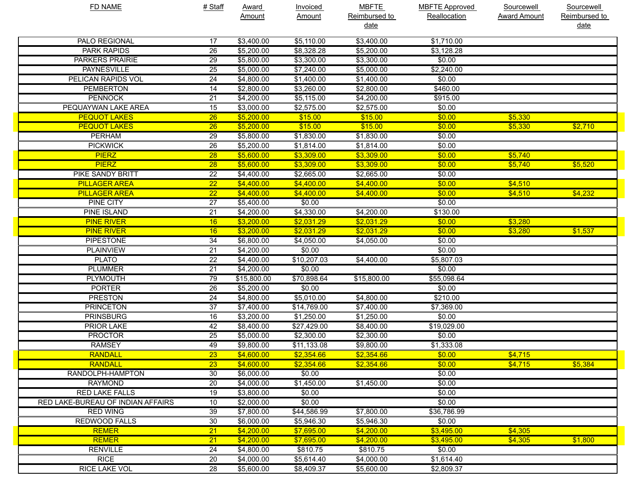| <b>FD NAME</b>                    | # Staff         | <b>Award</b> | <b>Invoiced</b> | <b>MBFTE</b>  | <b>MBFTE Approved</b> | <b>Sourcewell</b>   | Sourcewell    |
|-----------------------------------|-----------------|--------------|-----------------|---------------|-----------------------|---------------------|---------------|
|                                   |                 | Amount       | <b>Amount</b>   | Reimbursed to | Reallocation          | <b>Award Amount</b> | Reimbursed to |
|                                   |                 |              |                 | <u>date</u>   |                       |                     | <u>date</u>   |
| <b>PALO REGIONAL</b>              | 17              | \$3,400.00   | \$5,110.00      | \$3,400.00    | \$1,710.00            |                     |               |
| <b>PARK RAPIDS</b>                | 26              | \$5,200.00   | \$8,328.28      | \$5,200.00    | \$3,128.28            |                     |               |
| <b>PARKERS PRAIRIE</b>            | 29              | \$5,800.00   | \$3,300.00      | \$3,300.00    | \$0.00                |                     |               |
| <b>PAYNESVILLE</b>                | 25              | \$5,000.00   | \$7,240.00      | \$5,000.00    | \$2,240.00            |                     |               |
| PELICAN RAPIDS VOL                | 24              | \$4,800.00   | \$1,400.00      | \$1,400.00    | \$0.00                |                     |               |
| <b>PEMBERTON</b>                  | 14              | \$2,800.00   | \$3,260.00      | \$2,800.00    | \$460.00              |                     |               |
| <b>PENNOCK</b>                    | 21              | \$4,200.00   | \$5,115.00      | \$4,200.00    | \$915.00              |                     |               |
| PEQUAYWAN LAKE AREA               | 15              | \$3,000.00   | \$2,575.00      | \$2,575.00    | \$0.00                |                     |               |
| <b>PEQUOT LAKES</b>               | $\overline{26}$ | \$5,200.00   | \$15.00         | \$15.00       | \$0.00                | \$5,330             |               |
| <b>PEQUOT LAKES</b>               | $\overline{26}$ | \$5,200.00   | \$15.00         | \$15.00       | \$0.00                | \$5,330             | \$2,710       |
| <b>PERHAM</b>                     | 29              | \$5,800.00   | \$1,830.00      | \$1,830.00    | \$0.00                |                     |               |
| <b>PICKWICK</b>                   | 26              | \$5,200.00   | \$1,814.00      | \$1,814.00    | \$0.00                |                     |               |
| <b>PIERZ</b>                      | 28              | \$5,600.00   | \$3,309.00      | \$3,309.00    | \$0.00                | \$5,740             |               |
| <b>PIERZ</b>                      | $\overline{28}$ | \$5,600.00   | \$3,309.00      | \$3,309.00    | \$0.00                | \$5,740             | \$5,520       |
| <b>PIKE SANDY BRITT</b>           | 22              | \$4,400.00   | \$2,665.00      | \$2,665.00    | \$0.00                |                     |               |
| <b>PILLAGER AREA</b>              | $\overline{22}$ | \$4,400.00   | \$4,400.00      | \$4,400.00    | \$0.00                | \$4,510             |               |
| <b>PILLAGER AREA</b>              | $\overline{22}$ | \$4,400.00   | \$4,400.00      | \$4,400.00    | \$0.00                | \$4,510             | \$4,232       |
| <b>PINE CITY</b>                  | $\overline{27}$ | \$5,400.00   | \$0.00          |               | \$0.00                |                     |               |
| <b>PINE ISLAND</b>                | 21              | \$4,200.00   | \$4,330.00      | \$4,200.00    | \$130.00              |                     |               |
| <b>PINE RIVER</b>                 | 16              | \$3,200.00   | \$2,031.29      | \$2,031.29    | \$0.00                | \$3,280             |               |
| <b>PINE RIVER</b>                 | 16              | \$3,200.00   | \$2,031.29      | \$2,031.29    | \$0.00                | \$3,280             | \$1,537       |
| <b>PIPESTONE</b>                  | 34              | \$6,800.00   | \$4,050.00      | \$4,050.00    | \$0.00                |                     |               |
| <b>PLAINVIEW</b>                  | 21              | \$4,200.00   | \$0.00          |               | \$0.00                |                     |               |
| <b>PLATO</b>                      | 22              | \$4,400.00   | \$10,207.03     | \$4,400.00    | \$5,807.03            |                     |               |
| <b>PLUMMER</b>                    | $\overline{21}$ | \$4,200.00   | \$0.00          |               | \$0.00                |                     |               |
| <b>PLYMOUTH</b>                   | 79              | \$15,800.00  | \$70,898.64     | \$15,800.00   | \$55,098.64           |                     |               |
| <b>PORTER</b>                     | 26              | \$5,200.00   | \$0.00          |               | \$0.00                |                     |               |
| <b>PRESTON</b>                    | 24              | \$4,800.00   | \$5,010.00      | \$4,800.00    | \$210.00              |                     |               |
| <b>PRINCETON</b>                  | 37              | \$7,400.00   | \$14,769.00     | \$7,400.00    | \$7,369.00            |                     |               |
| <b>PRINSBURG</b>                  | 16              | \$3,200.00   | \$1,250.00      | \$1,250.00    | \$0.00                |                     |               |
| <b>PRIOR LAKE</b>                 | 42              | \$8,400.00   | \$27,429.00     | \$8,400.00    | \$19,029.00           |                     |               |
| <b>PROCTOR</b>                    | 25              | \$5,000.00   | \$2,300.00      | \$2,300.00    | \$0.00                |                     |               |
| <b>RAMSEY</b>                     | 49              | \$9,800.00   | \$11,133.08     | \$9,800.00    | \$1,333.08            |                     |               |
| RANDALL                           | $\overline{23}$ | \$4,600.00   | \$2,354.66      | \$2,354.66    | \$0.00                | \$4,715             |               |
| <b>RANDALL</b>                    | 23              | \$4,600.00   | \$2,354.66      | \$2,354.66    | \$0.00                | \$4,715             | \$5,384       |
| RANDOLPH-HAMPTON                  | 30              | \$6,000.00   | \$0.00          |               | \$0.00                |                     |               |
| <b>RAYMOND</b>                    | 20              | \$4,000.00   | \$1,450.00      | \$1,450.00    | \$0.00                |                     |               |
| <b>RED LAKE FALLS</b>             | 19              | \$3,800.00   | \$0.00          |               | \$0.00                |                     |               |
| RED LAKE-BUREAU OF INDIAN AFFAIRS | 10              | \$2,000.00   | \$0.00          |               | \$0.00                |                     |               |
| <b>RED WING</b>                   | 39              | \$7,800.00   | \$44,586.99     | \$7,800.00    | \$36,786.99           |                     |               |
| <b>REDWOOD FALLS</b>              | 30              | \$6,000.00   | \$5,946.30      | \$5,946.30    | \$0.00                |                     |               |
| <b>REMER</b>                      | $\overline{21}$ | \$4,200.00   | \$7,695.00      | \$4,200.00    | \$3,495.00            | \$4,305             |               |
| <b>REMER</b>                      | 21              | \$4,200.00   | \$7,695.00      | \$4,200.00    | \$3,495.00            | \$4,305             | \$1,800       |
| <b>RENVILLE</b>                   | 24              | \$4,800.00   | \$810.75        | \$810.75      | \$0.00                |                     |               |
| <b>RICE</b>                       | 20              | \$4,000.00   | \$5,614.40      | \$4,000.00    | \$1,614.40            |                     |               |
| <b>RICE LAKE VOL</b>              | 28              | \$5,600.00   | \$8,409.37      | \$5,600.00    | \$2,809.37            |                     |               |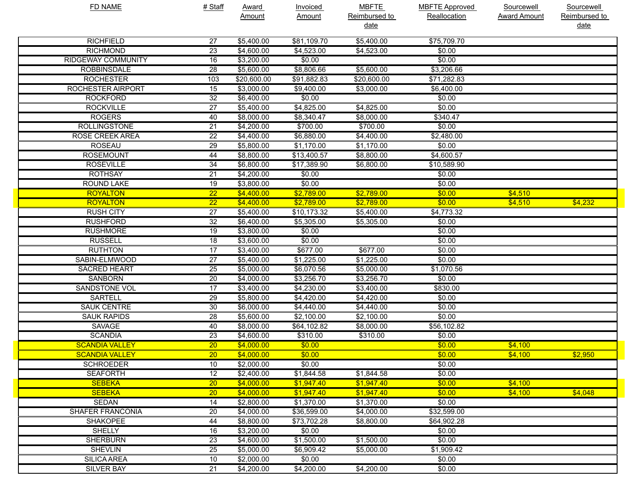| FD NAME                   | # Staff         | <b>Award</b> | Invoiced      | <b>MBFTE</b>  | <b>MBFTE Approved</b> | Sourcewell          | Sourcewell    |
|---------------------------|-----------------|--------------|---------------|---------------|-----------------------|---------------------|---------------|
|                           |                 | Amount       | <b>Amount</b> | Reimbursed to | Reallocation          | <b>Award Amount</b> | Reimbursed to |
|                           |                 |              |               | <u>date</u>   |                       |                     | <u>date</u>   |
| <b>RICHFIELD</b>          | 27              | \$5,400.00   | \$81,109.70   | \$5,400.00    | \$75,709.70           |                     |               |
| <b>RICHMOND</b>           | 23              | \$4,600.00   | \$4,523.00    | \$4,523.00    | \$0.00                |                     |               |
| <b>RIDGEWAY COMMUNITY</b> | $\overline{16}$ | \$3,200.00   | \$0.00        |               | \$0.00                |                     |               |
| <b>ROBBINSDALE</b>        | 28              | \$5,600.00   | \$8,806.66    | \$5,600.00    | \$3,206.66            |                     |               |
| <b>ROCHESTER</b>          | 103             | \$20,600.00  | \$91,882.83   | \$20,600.00   | \$71,282.83           |                     |               |
| <b>ROCHESTER AIRPORT</b>  | $\overline{15}$ | \$3,000.00   | \$9,400.00    | \$3,000.00    | \$6,400.00            |                     |               |
| <b>ROCKFORD</b>           | $\overline{32}$ | \$6,400.00   | \$0.00        |               | \$0.00                |                     |               |
| <b>ROCKVILLE</b>          | $\overline{27}$ | \$5,400.00   | \$4,825.00    | \$4,825.00    | \$0.00                |                     |               |
| <b>ROGERS</b>             | 40              | \$8,000.00   | \$8,340.47    | \$8,000.00    | \$340.47              |                     |               |
| <b>ROLLINGSTONE</b>       | 21              | \$4,200.00   | \$700.00      | \$700.00      | \$0.00                |                     |               |
| <b>ROSE CREEK AREA</b>    | $\overline{22}$ | \$4,400.00   | \$6,880.00    | \$4,400.00    | \$2,480.00            |                     |               |
| <b>ROSEAU</b>             | 29              | \$5,800.00   | \$1,170.00    | \$1,170.00    | \$0.00                |                     |               |
| <b>ROSEMOUNT</b>          | 44              | \$8,800.00   | \$13,400.57   | \$8,800.00    | \$4,600.57            |                     |               |
| <b>ROSEVILLE</b>          | 34              | \$6,800.00   | \$17,389.90   | \$6,800.00    | \$10,589.90           |                     |               |
| <b>ROTHSAY</b>            | 21              | \$4,200.00   | \$0.00        |               | \$0.00                |                     |               |
| <b>ROUND LAKE</b>         | 19              | \$3,800.00   | \$0.00        |               | \$0.00                |                     |               |
| <b>ROYALTON</b>           | $\overline{22}$ | \$4,400.00   | \$2,789.00    | \$2,789.00    | \$0.00                | \$4,510             |               |
| <b>ROYALTON</b>           | $\overline{22}$ | \$4,400.00   | \$2,789.00    | \$2,789.00    | \$0.00                | \$4,510             | \$4,232       |
| <b>RUSH CITY</b>          | $\overline{27}$ | \$5,400.00   | \$10,173.32   | \$5,400.00    | \$4,773.32            |                     |               |
| <b>RUSHFORD</b>           | 32              | \$6,400.00   | \$5,305.00    | \$5,305.00    | \$0.00                |                     |               |
| <b>RUSHMORE</b>           | 19              | \$3,800.00   | \$0.00        |               | \$0.00                |                     |               |
| <b>RUSSELL</b>            | $\overline{18}$ | \$3,600.00   | \$0.00        |               | \$0.00                |                     |               |
| <b>RUTHTON</b>            | 17              | \$3,400.00   | \$677.00      | \$677.00      | \$0.00                |                     |               |
| SABIN-ELMWOOD             | $\overline{27}$ | \$5,400.00   | \$1,225.00    | \$1,225.00    | \$0.00                |                     |               |
| <b>SACRED HEART</b>       | $\overline{25}$ | \$5,000.00   | \$6,070.56    | \$5,000.00    | \$1,070.56            |                     |               |
| <b>SANBORN</b>            | $\overline{20}$ | \$4,000.00   | \$3,256.70    | \$3,256.70    | \$0.00                |                     |               |
| <b>SANDSTONE VOL</b>      | 17              | \$3,400.00   | \$4,230.00    | \$3,400.00    | \$830.00              |                     |               |
| <b>SARTELL</b>            | 29              | \$5,800.00   | \$4,420.00    | \$4,420.00    | \$0.00                |                     |               |
| <b>SAUK CENTRE</b>        | 30              | \$6,000.00   | \$4,440.00    | \$4,440.00    | \$0.00                |                     |               |
| <b>SAUK RAPIDS</b>        | 28              | \$5,600.00   | \$2,100.00    | \$2,100.00    | \$0.00                |                     |               |
| <b>SAVAGE</b>             | 40              | \$8,000.00   | \$64,102.82   | \$8,000.00    | \$56,102.82           |                     |               |
| <b>SCANDIA</b>            | 23              | \$4,600.00   | \$310.00      | \$310.00      | \$0.00                |                     |               |
| <b>SCANDIA VALLEY</b>     | 20              | \$4,000.00   | \$0.00        |               | \$0.00                | \$4,100             |               |
| <b>SCANDIA VALLEY</b>     | $\overline{20}$ | \$4,000.00   | \$0.00        |               | \$0.00                | \$4,100             | \$2,950       |
| <b>SCHROEDER</b>          | 10              | \$2,000.00   | \$0.00        |               | \$0.00                |                     |               |
| <b>SEAFORTH</b>           | $\overline{12}$ | \$2,400.00   | \$1,844.58    | \$1,844.58    | \$0.00                |                     |               |
| <b>SEBEKA</b>             | 20              | \$4,000.00   | \$1,947.40    | \$1,947.40    | \$0.00                | \$4,100             |               |
| <b>SEBEKA</b>             | 20              | \$4,000.00   | \$1,947.40    | \$1,947.40    | \$0.00                | \$4,100             | \$4,048       |
| SEDAN                     | 14              | \$2,800.00   | \$1,370.00    | \$1,370.00    | \$0.00                |                     |               |
| <b>SHAFER FRANCONIA</b>   | 20              | \$4,000.00   | \$36,599.00   | \$4,000.00    | \$32,599.00           |                     |               |
| <b>SHAKOPEE</b>           | 44              | \$8,800.00   | \$73,702.28   | \$8,800.00    | \$64,902.28           |                     |               |
| <b>SHELLY</b>             | 16              | \$3,200.00   | \$0.00        |               | \$0.00                |                     |               |
| <b>SHERBURN</b>           | 23              | \$4,600.00   | \$1,500.00    | \$1,500.00    | \$0.00                |                     |               |
| <b>SHEVLIN</b>            | 25              | \$5,000.00   | \$6,909.42    | \$5,000.00    | \$1,909.42            |                     |               |
| <b>SILICA AREA</b>        | 10              | \$2,000.00   | \$0.00        |               | \$0.00                |                     |               |
| <b>SILVER BAY</b>         | 21              | \$4,200.00   | \$4,200.00    | \$4,200.00    | \$0.00                |                     |               |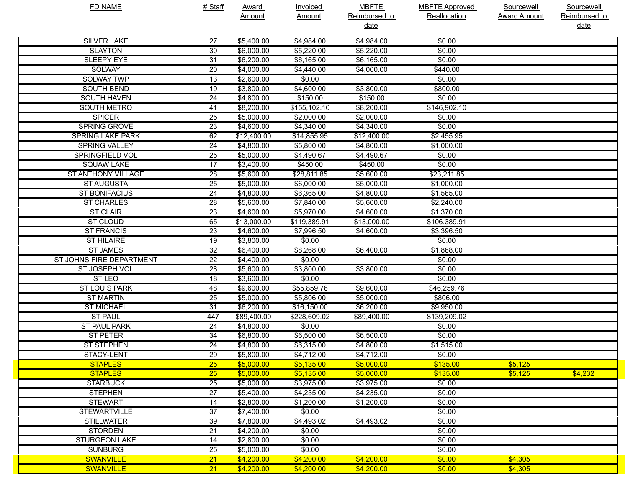| FD NAME                  | # Staff         | <b>Award</b>  | <b>Invoiced</b> | <b>MBFTE</b>  | <b>MBFTE Approved</b> | Sourcewell          | Sourcewell    |
|--------------------------|-----------------|---------------|-----------------|---------------|-----------------------|---------------------|---------------|
|                          |                 | <b>Amount</b> | <b>Amount</b>   | Reimbursed to | Reallocation          | <b>Award Amount</b> | Reimbursed to |
|                          |                 |               |                 | <u>date</u>   |                       |                     | date          |
| <b>SILVER LAKE</b>       | 27              | \$5,400.00    | \$4,984.00      | \$4,984.00    | \$0.00                |                     |               |
| <b>SLAYTON</b>           | $\overline{30}$ | \$6,000.00    | \$5,220.00      | \$5,220.00    | \$0.00                |                     |               |
| <b>SLEEPY EYE</b>        | $\overline{31}$ | \$6,200.00    | \$6,165.00      | \$6,165.00    | \$0.00                |                     |               |
| SOLWAY                   | $\overline{20}$ | \$4,000.00    | \$4,440.00      | \$4,000.00    | \$440.00              |                     |               |
| <b>SOLWAY TWP</b>        | $\overline{13}$ | \$2,600.00    | \$0.00          |               | \$0.00                |                     |               |
| <b>SOUTH BEND</b>        | 19              | \$3,800.00    | \$4,600.00      | \$3,800.00    | \$800.00              |                     |               |
| <b>SOUTH HAVEN</b>       | 24              | \$4,800.00    | \$150.00        | \$150.00      | \$0.00                |                     |               |
| <b>SOUTH METRO</b>       | 41              | \$8,200.00    | \$155,102.10    | \$8,200.00    | \$146,902.10          |                     |               |
| <b>SPICER</b>            | $\overline{25}$ | \$5,000.00    | \$2,000.00      | \$2,000.00    | \$0.00                |                     |               |
| <b>SPRING GROVE</b>      | $\overline{23}$ | \$4,600.00    | \$4,340.00      | \$4,340.00    | \$0.00                |                     |               |
| <b>SPRING LAKE PARK</b>  | 62              | \$12,400.00   | \$14,855.95     | \$12,400.00   | \$2,455.95            |                     |               |
| <b>SPRING VALLEY</b>     | 24              | \$4,800.00    | \$5,800.00      | \$4,800.00    | \$1,000.00            |                     |               |
| <b>SPRINGFIELD VOL</b>   | $\overline{25}$ | \$5,000.00    | \$4,490.67      | \$4,490.67    | \$0.00                |                     |               |
| <b>SQUAW LAKE</b>        | $\overline{17}$ | \$3,400.00    | \$450.00        | \$450.00      | \$0.00                |                     |               |
| ST ANTHONY VILLAGE       | $\overline{28}$ | \$5,600.00    | \$28,811.85     | \$5,600.00    | \$23,211.85           |                     |               |
| <b>ST AUGUSTA</b>        | $\overline{25}$ | \$5,000.00    | \$6,000.00      | \$5,000.00    | \$1,000.00            |                     |               |
| <b>ST BONIFACIUS</b>     | $\overline{24}$ | \$4,800.00    | \$6,365.00      | \$4,800.00    | \$1,565.00            |                     |               |
| <b>ST CHARLES</b>        | 28              | \$5,600.00    | \$7,840.00      | \$5,600.00    | \$2,240.00            |                     |               |
| <b>ST CLAIR</b>          | $\overline{23}$ | \$4,600.00    | \$5,970.00      | \$4,600.00    | \$1,370.00            |                     |               |
| <b>ST CLOUD</b>          | 65              | \$13,000.00   | \$119,389.91    | \$13,000.00   | \$106,389.91          |                     |               |
| <b>ST FRANCIS</b>        | $\overline{23}$ | \$4,600.00    | \$7,996.50      | \$4,600.00    | \$3,396.50            |                     |               |
| <b>ST HILAIRE</b>        | 19              | \$3,800.00    | \$0.00          |               | \$0.00                |                     |               |
| <b>ST JAMES</b>          | $\overline{32}$ | \$6,400.00    | \$8,268.00      | \$6,400.00    | \$1,868.00            |                     |               |
| ST JOHNS FIRE DEPARTMENT | $\overline{22}$ | \$4,400.00    | \$0.00          |               | \$0.00                |                     |               |
| ST JOSEPH VOL            | $\overline{28}$ | \$5,600.00    | \$3,800.00      | \$3,800.00    | \$0.00                |                     |               |
| ST LEO                   | 18              | \$3,600.00    | \$0.00          |               | \$0.00                |                     |               |
| <b>ST LOUIS PARK</b>     | 48              | \$9,600.00    | \$55,859.76     | \$9,600.00    | \$46,259.76           |                     |               |
| <b>ST MARTIN</b>         | $\overline{25}$ | \$5,000.00    | \$5,806.00      | \$5,000.00    | \$806.00              |                     |               |
| <b>ST MICHAEL</b>        | 31              | \$6,200.00    | \$16,150.00     | \$6,200.00    | \$9,950.00            |                     |               |
| <b>ST PAUL</b>           | 447             | \$89,400.00   | \$228,609.02    | \$89,400.00   | \$139,209.02          |                     |               |
| <b>ST PAUL PARK</b>      | 24              | \$4,800.00    | \$0.00          |               | \$0.00                |                     |               |
| <b>ST PETER</b>          | 34              | \$6,800.00    | \$6,500.00      | \$6,500.00    | \$0.00                |                     |               |
| <b>ST STEPHEN</b>        | 24              | \$4,800.00    | \$6,315.00      | \$4,800.00    | \$1,515.00            |                     |               |
| STACY-LENT               | $\overline{29}$ | \$5,800.00    | \$4,712.00      | \$4,712.00    | \$0.00                |                     |               |
| <b>STAPLES</b>           | 25              | \$5,000.00    | \$5,135.00      | \$5,000.00    | \$135.00              | \$5,125             |               |
| <b>STAPLES</b>           | 25              | \$5,000.00    | \$5,135.00      | \$5,000.00    | \$135.00              | \$5,125             | \$4,232       |
| <b>STARBUCK</b>          | $\overline{25}$ | \$5,000.00    | \$3,975.00      | \$3,975.00    | \$0.00                |                     |               |
| <b>STEPHEN</b>           | $\overline{27}$ | \$5,400.00    | \$4,235.00      | \$4,235.00    | \$0.00                |                     |               |
| <b>STEWART</b>           | $\overline{14}$ | \$2,800.00    | \$1,200.00      | \$1,200.00    | \$0.00                |                     |               |
| <b>STEWARTVILLE</b>      | $\overline{37}$ | \$7,400.00    | \$0.00          |               | \$0.00                |                     |               |
| <b>STILLWATER</b>        | 39              | \$7,800.00    | \$4,493.02      | \$4,493.02    | \$0.00                |                     |               |
| <b>STORDEN</b>           | $\overline{21}$ | \$4,200.00    | \$0.00          |               | \$0.00                |                     |               |
| <b>STURGEON LAKE</b>     | $\overline{14}$ | \$2,800.00    | \$0.00          |               | \$0.00                |                     |               |
| <b>SUNBURG</b>           | $\overline{25}$ | \$5,000.00    | \$0.00          |               | \$0.00                |                     |               |
| <b>SWANVILLE</b>         | 21              | \$4,200.00    | \$4,200.00      | \$4,200.00    | \$0.00                | \$4,305             |               |
| <b>SWANVILLE</b>         | 21              | \$4,200.00    | \$4,200.00      | \$4,200.00    | \$0.00                | \$4,305             |               |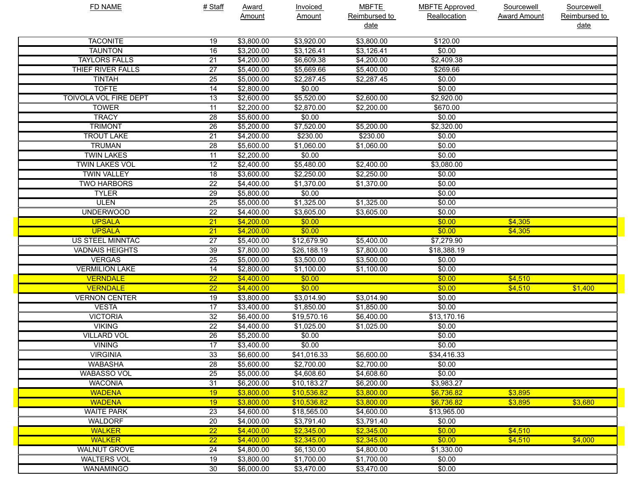| <b>FD NAME</b>               | # Staff         | <b>Award</b> | <b>Invoiced</b> | <b>MBFTE</b>                 | <b>MBFTE Approved</b> | Sourcewell          | <b>Sourcewell</b>     |
|------------------------------|-----------------|--------------|-----------------|------------------------------|-----------------------|---------------------|-----------------------|
|                              |                 | Amount       | Amount          | Reimbursed to<br><u>date</u> | Reallocation          | <b>Award Amount</b> | Reimbursed to<br>date |
| <b>TACONITE</b>              | 19              | \$3,800.00   | \$3,920.00      | \$3,800.00                   | \$120.00              |                     |                       |
| <b>TAUNTON</b>               | 16              | \$3,200.00   | \$3,126.41      | \$3,126.41                   | \$0.00                |                     |                       |
| <b>TAYLORS FALLS</b>         | $\overline{21}$ | \$4,200.00   | \$6,609.38      | \$4,200.00                   | \$2,409.38            |                     |                       |
| THIEF RIVER FALLS            | $\overline{27}$ | \$5,400.00   | \$5,669.66      | \$5,400.00                   | \$269.66              |                     |                       |
| <b>TINTAH</b>                | $\overline{25}$ | \$5,000.00   | \$2,287.45      | \$2,287.45                   | \$0.00                |                     |                       |
| <b>TOFTE</b>                 | 14              | \$2,800.00   | \$0.00          |                              | \$0.00                |                     |                       |
| <b>TOIVOLA VOL FIRE DEPT</b> | 13              | \$2,600.00   | \$5,520.00      | \$2,600.00                   | \$2,920.00            |                     |                       |
| <b>TOWER</b>                 | 11              | \$2,200.00   | \$2,870.00      | \$2,200.00                   | \$670.00              |                     |                       |
| <b>TRACY</b>                 | 28              | \$5,600.00   | \$0.00          |                              | \$0.00                |                     |                       |
| <b>TRIMONT</b>               | 26              | \$5,200.00   | \$7,520.00      | \$5,200.00                   | \$2,320.00            |                     |                       |
| <b>TROUT LAKE</b>            | $\overline{21}$ | \$4,200.00   | \$230.00        | \$230.00                     | \$0.00                |                     |                       |
| <b>TRUMAN</b>                | 28              | \$5,600.00   | \$1,060.00      | \$1,060.00                   | \$0.00                |                     |                       |
| <b>TWIN LAKES</b>            | 11              | \$2,200.00   | \$0.00          |                              | \$0.00                |                     |                       |
| <b>TWIN LAKES VOL</b>        | $\overline{12}$ | \$2,400.00   | \$5,480.00      | \$2,400.00                   | \$3,080.00            |                     |                       |
| <b>TWIN VALLEY</b>           | 18              | \$3,600.00   | \$2,250.00      | \$2,250.00                   | \$0.00                |                     |                       |
| <b>TWO HARBORS</b>           | $\overline{22}$ | \$4,400.00   | \$1,370.00      | \$1,370.00                   | \$0.00                |                     |                       |
| <b>TYLER</b>                 | $\overline{29}$ | \$5,800.00   | \$0.00          |                              | \$0.00                |                     |                       |
| <b>ULEN</b>                  | $\overline{25}$ | \$5,000.00   | \$1,325.00      | \$1,325.00                   | \$0.00                |                     |                       |
| <b>UNDERWOOD</b>             | $\overline{22}$ | \$4,400.00   | \$3,605.00      | \$3,605.00                   | \$0.00                |                     |                       |
| <b>UPSALA</b>                | $\overline{21}$ | \$4,200.00   | \$0.00          |                              | \$0.00                | \$4,305             |                       |
| <b>UPSALA</b>                | $\overline{21}$ | \$4,200.00   | \$0.00          |                              | \$0.00                | \$4,305             |                       |
| <b>US STEEL MINNTAC</b>      | $\overline{27}$ | \$5,400.00   | \$12,679.90     | \$5,400.00                   | \$7,279.90            |                     |                       |
| <b>VADNAIS HEIGHTS</b>       | 39              | \$7,800.00   | \$26,188.19     | \$7,800.00                   | \$18,388.19           |                     |                       |
| <b>VERGAS</b>                | $\overline{25}$ | \$5,000.00   | \$3,500.00      | \$3,500.00                   | \$0.00                |                     |                       |
| <b>VERMILION LAKE</b>        | 14              | \$2,800.00   | \$1,100.00      | \$1,100.00                   | \$0.00                |                     |                       |
| <b>VERNDALE</b>              | $\overline{22}$ | \$4,400.00   | \$0.00          |                              | \$0.00                | \$4,510             |                       |
| <b>VERNDALE</b>              | $\overline{22}$ | \$4,400.00   | \$0.00          |                              | \$0.00                | \$4,510             | \$1,400               |
| <b>VERNON CENTER</b>         | 19              | \$3,800.00   | \$3,014.90      | \$3,014.90                   | \$0.00                |                     |                       |
| <b>VESTA</b>                 | $\overline{17}$ | \$3,400.00   | \$1,850.00      | \$1,850.00                   | \$0.00                |                     |                       |
| <b>VICTORIA</b>              | $\overline{32}$ | \$6,400.00   | \$19,570.16     | \$6,400.00                   | \$13,170.16           |                     |                       |
| <b>VIKING</b>                | 22              | \$4,400.00   | \$1,025.00      | \$1,025.00                   | \$0.00                |                     |                       |
| <b>VILLARD VOL</b>           | 26              | \$5,200.00   | \$0.00          |                              | \$0.00                |                     |                       |
| <b>VINING</b>                | $\overline{17}$ | \$3,400.00   | \$0.00          |                              | \$0.00                |                     |                       |
| <b>VIRGINIA</b>              | 33              | \$6,600.00   | \$41,016.33     | \$6,600.00                   | \$34,416.33           |                     |                       |
| <b>WABASHA</b>               | 28              | \$5,600.00   | \$2,700.00      | \$2,700.00                   | \$0.00                |                     |                       |
| <b>WABASSO VOL</b>           | 25              | \$5,000.00   | \$4,608.60      | \$4,608.60                   | \$0.00                |                     |                       |
| <b>WACONIA</b>               | 31              | \$6,200.00   | \$10,183.27     | \$6,200.00                   | \$3,983.27            |                     |                       |
| <b>WADENA</b>                | 19              | \$3,800.00   | \$10,536.82     | \$3,800.00                   | \$6,736.82            | \$3,895             |                       |
| <b>WADENA</b>                | 19              | \$3,800.00   | \$10,536.82     | \$3,800.00                   | \$6,736.82            | \$3,895             | \$3,680               |
| <b>WAITE PARK</b>            | 23              | \$4,600.00   | \$18,565.00     | \$4,600.00                   | \$13,965.00           |                     |                       |
| <b>WALDORF</b>               | 20              | \$4,000.00   | \$3,791.40      | \$3,791.40                   | \$0.00                |                     |                       |
| <b>WALKER</b>                | $\overline{22}$ | \$4,400.00   | \$2,345.00      | \$2,345.00                   | \$0.00                | \$4,510             |                       |
| <b>WALKER</b>                | $\overline{22}$ | \$4,400.00   | \$2,345.00      | \$2,345.00                   | \$0.00                | \$4,510             | \$4,000               |
| <b>WALNUT GROVE</b>          | 24              | \$4,800.00   | \$6,130.00      | \$4,800.00                   | \$1,330.00            |                     |                       |
| <b>WALTERS VOL</b>           | 19              | \$3,800.00   | \$1,700.00      | \$1,700.00                   | \$0.00                |                     |                       |
| <b>WANAMINGO</b>             | 30              | \$6,000.00   | \$3,470.00      | \$3,470.00                   | \$0.00                |                     |                       |